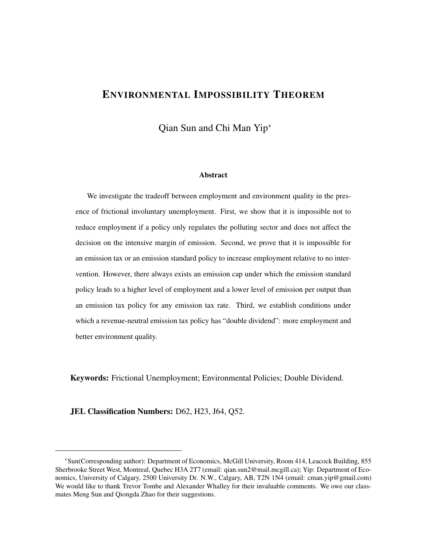# ENVIRONMENTAL IMPOSSIBILITY THEOREM

Qian Sun and Chi Man Yip<sup>∗</sup>

#### Abstract

We investigate the tradeoff between employment and environment quality in the presence of frictional involuntary unemployment. First, we show that it is impossible not to reduce employment if a policy only regulates the polluting sector and does not affect the decision on the intensive margin of emission. Second, we prove that it is impossible for an emission tax or an emission standard policy to increase employment relative to no intervention. However, there always exists an emission cap under which the emission standard policy leads to a higher level of employment and a lower level of emission per output than an emission tax policy for any emission tax rate. Third, we establish conditions under which a revenue-neutral emission tax policy has "double dividend": more employment and better environment quality.

Keywords: Frictional Unemployment; Environmental Policies; Double Dividend.

JEL Classification Numbers: D62, H23, J64, Q52.

<sup>∗</sup>Sun(Corresponding author): Department of Economics, McGill University, Room 414, Leacock Building, 855 Sherbrooke Street West, Montreal, Quebec H3A 2T7 (email: qian.sun2@mail.mcgill.ca); Yip: Department of Economics, University of Calgary, 2500 University Dr. N.W., Calgary, AB, T2N 1N4 (email: cman.yip@gmail.com) We would like to thank Trevor Tombe and Alexander Whalley for their invaluable comments. We owe our classmates Meng Sun and Qiongda Zhao for their suggestions.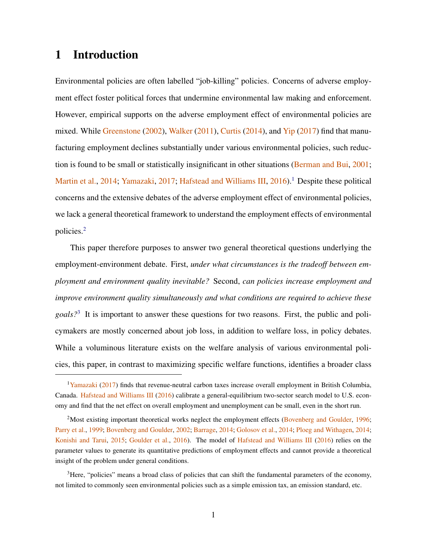## 1 Introduction

Environmental policies are often labelled "job-killing" policies. Concerns of adverse employment effect foster political forces that undermine environmental law making and enforcement. However, empirical supports on the adverse employment effect of environmental policies are mixed. While [Greenstone](#page-36-0) [\(2002\)](#page-36-0), [Walker](#page-39-0) [\(2011\)](#page-39-0), [Curtis](#page-35-0) [\(2014\)](#page-35-0), and [Yip](#page-39-1) [\(2017\)](#page-39-1) find that manufacturing employment declines substantially under various environmental policies, such reduction is found to be small or statistically insignificant in other situations [\(Berman and Bui,](#page-35-1) [2001;](#page-35-1) [Martin et al.,](#page-38-0) [2014;](#page-38-0) [Yamazaki,](#page-39-2) [2017;](#page-39-2) [Hafstead and Williams III,](#page-37-0) [2016\)](#page-37-0).<sup>[1](#page-1-0)</sup> Despite these political concerns and the extensive debates of the adverse employment effect of environmental policies, we lack a general theoretical framework to understand the employment effects of environmental policies.[2](#page-1-1)

This paper therefore purposes to answer two general theoretical questions underlying the employment-environment debate. First, *under what circumstances is the tradeoff between employment and environment quality inevitable?* Second, *can policies increase employment and improve environment quality simultaneously and what conditions are required to achieve these goals?*[3](#page-1-2) It is important to answer these questions for two reasons. First, the public and policymakers are mostly concerned about job loss, in addition to welfare loss, in policy debates. While a voluminous literature exists on the welfare analysis of various environmental policies, this paper, in contrast to maximizing specific welfare functions, identifies a broader class

<span id="page-1-2"></span><sup>3</sup>Here, "policies" means a broad class of policies that can shift the fundamental parameters of the economy, not limited to commonly seen environmental policies such as a simple emission tax, an emission standard, etc.

<span id="page-1-0"></span><sup>&</sup>lt;sup>1</sup>[Yamazaki](#page-39-2) [\(2017\)](#page-39-2) finds that revenue-neutral carbon taxes increase overall employment in British Columbia, Canada. [Hafstead and Williams III](#page-37-0) [\(2016\)](#page-37-0) calibrate a general-equilibrium two-sector search model to U.S. economy and find that the net effect on overall employment and unemployment can be small, even in the short run.

<span id="page-1-1"></span><sup>&</sup>lt;sup>2</sup>Most existing important theoretical works neglect the employment effects [\(Bovenberg and Goulder,](#page-35-2) [1996;](#page-35-2) [Parry et al.,](#page-38-1) [1999;](#page-38-1) [Bovenberg and Goulder,](#page-35-3) [2002;](#page-35-3) [Barrage,](#page-35-4) [2014;](#page-35-4) [Golosov et al.,](#page-36-1) [2014;](#page-36-1) [Ploeg and Withagen,](#page-38-2) [2014;](#page-38-2) [Konishi and Tarui,](#page-37-1) [2015;](#page-37-1) [Goulder et al.,](#page-36-2) [2016\)](#page-36-2). The model of [Hafstead and Williams III](#page-37-0) [\(2016\)](#page-37-0) relies on the parameter values to generate its quantitative predictions of employment effects and cannot provide a theoretical insight of the problem under general conditions.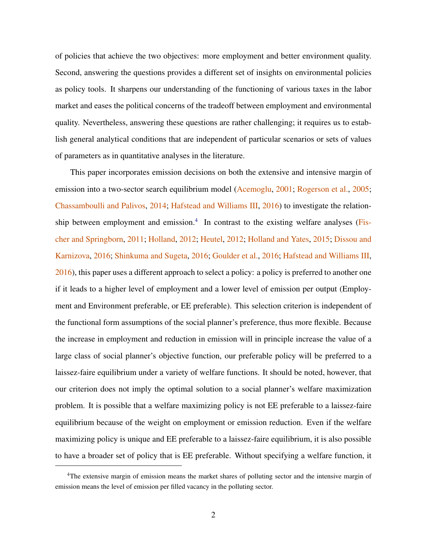of policies that achieve the two objectives: more employment and better environment quality. Second, answering the questions provides a different set of insights on environmental policies as policy tools. It sharpens our understanding of the functioning of various taxes in the labor market and eases the political concerns of the tradeoff between employment and environmental quality. Nevertheless, answering these questions are rather challenging; it requires us to establish general analytical conditions that are independent of particular scenarios or sets of values of parameters as in quantitative analyses in the literature.

This paper incorporates emission decisions on both the extensive and intensive margin of emission into a two-sector search equilibrium model [\(Acemoglu,](#page-35-5) [2001;](#page-35-5) [Rogerson et al.,](#page-38-3) [2005;](#page-38-3) [Chassamboulli and Palivos,](#page-35-6) [2014;](#page-35-6) [Hafstead and Williams III,](#page-37-0) [2016\)](#page-37-0) to investigate the relation-ship between employment and emission.<sup>[4](#page-2-0)</sup> In contrast to the existing welfare analyses [\(Fis](#page-36-3)[cher and Springborn,](#page-36-3) [2011;](#page-36-3) [Holland,](#page-37-2) [2012;](#page-37-2) [Heutel,](#page-37-3) [2012;](#page-37-3) [Holland and Yates,](#page-37-4) [2015;](#page-37-4) [Dissou and](#page-35-7) [Karnizova,](#page-35-7) [2016;](#page-35-7) [Shinkuma and Sugeta,](#page-39-3) [2016;](#page-39-3) [Goulder et al.,](#page-36-2) [2016;](#page-36-2) [Hafstead and Williams III,](#page-37-0) [2016\)](#page-37-0), this paper uses a different approach to select a policy: a policy is preferred to another one if it leads to a higher level of employment and a lower level of emission per output (Employment and Environment preferable, or EE preferable). This selection criterion is independent of the functional form assumptions of the social planner's preference, thus more flexible. Because the increase in employment and reduction in emission will in principle increase the value of a large class of social planner's objective function, our preferable policy will be preferred to a laissez-faire equilibrium under a variety of welfare functions. It should be noted, however, that our criterion does not imply the optimal solution to a social planner's welfare maximization problem. It is possible that a welfare maximizing policy is not EE preferable to a laissez-faire equilibrium because of the weight on employment or emission reduction. Even if the welfare maximizing policy is unique and EE preferable to a laissez-faire equilibrium, it is also possible to have a broader set of policy that is EE preferable. Without specifying a welfare function, it

<span id="page-2-0"></span><sup>&</sup>lt;sup>4</sup>The extensive margin of emission means the market shares of polluting sector and the intensive margin of emission means the level of emission per filled vacancy in the polluting sector.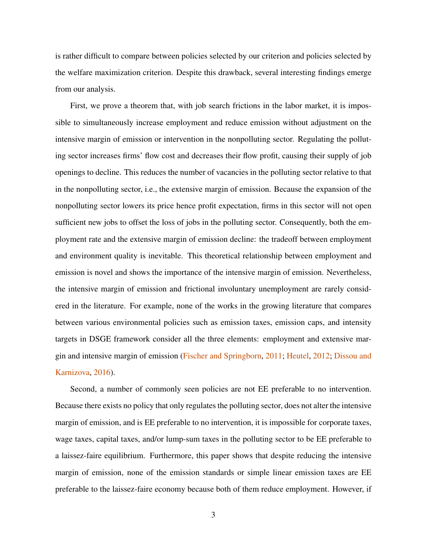is rather difficult to compare between policies selected by our criterion and policies selected by the welfare maximization criterion. Despite this drawback, several interesting findings emerge from our analysis.

First, we prove a theorem that, with job search frictions in the labor market, it is impossible to simultaneously increase employment and reduce emission without adjustment on the intensive margin of emission or intervention in the nonpolluting sector. Regulating the polluting sector increases firms' flow cost and decreases their flow profit, causing their supply of job openings to decline. This reduces the number of vacancies in the polluting sector relative to that in the nonpolluting sector, i.e., the extensive margin of emission. Because the expansion of the nonpolluting sector lowers its price hence profit expectation, firms in this sector will not open sufficient new jobs to offset the loss of jobs in the polluting sector. Consequently, both the employment rate and the extensive margin of emission decline: the tradeoff between employment and environment quality is inevitable. This theoretical relationship between employment and emission is novel and shows the importance of the intensive margin of emission. Nevertheless, the intensive margin of emission and frictional involuntary unemployment are rarely considered in the literature. For example, none of the works in the growing literature that compares between various environmental policies such as emission taxes, emission caps, and intensity targets in DSGE framework consider all the three elements: employment and extensive margin and intensive margin of emission [\(Fischer and Springborn,](#page-36-3) [2011;](#page-36-3) [Heutel,](#page-37-3) [2012;](#page-37-3) [Dissou and](#page-35-7) [Karnizova,](#page-35-7) [2016\)](#page-35-7).

Second, a number of commonly seen policies are not EE preferable to no intervention. Because there exists no policy that only regulates the polluting sector, does not alter the intensive margin of emission, and is EE preferable to no intervention, it is impossible for corporate taxes, wage taxes, capital taxes, and/or lump-sum taxes in the polluting sector to be EE preferable to a laissez-faire equilibrium. Furthermore, this paper shows that despite reducing the intensive margin of emission, none of the emission standards or simple linear emission taxes are EE preferable to the laissez-faire economy because both of them reduce employment. However, if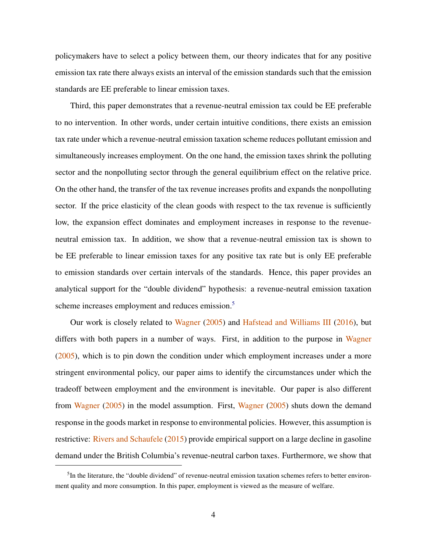policymakers have to select a policy between them, our theory indicates that for any positive emission tax rate there always exists an interval of the emission standards such that the emission standards are EE preferable to linear emission taxes.

Third, this paper demonstrates that a revenue-neutral emission tax could be EE preferable to no intervention. In other words, under certain intuitive conditions, there exists an emission tax rate under which a revenue-neutral emission taxation scheme reduces pollutant emission and simultaneously increases employment. On the one hand, the emission taxes shrink the polluting sector and the nonpolluting sector through the general equilibrium effect on the relative price. On the other hand, the transfer of the tax revenue increases profits and expands the nonpolluting sector. If the price elasticity of the clean goods with respect to the tax revenue is sufficiently low, the expansion effect dominates and employment increases in response to the revenueneutral emission tax. In addition, we show that a revenue-neutral emission tax is shown to be EE preferable to linear emission taxes for any positive tax rate but is only EE preferable to emission standards over certain intervals of the standards. Hence, this paper provides an analytical support for the "double dividend" hypothesis: a revenue-neutral emission taxation scheme increases employment and reduces emission.<sup>[5](#page-4-0)</sup>

Our work is closely related to [Wagner](#page-39-4) [\(2005\)](#page-39-4) and [Hafstead and Williams III](#page-37-0) [\(2016\)](#page-37-0), but differs with both papers in a number of ways. First, in addition to the purpose in [Wagner](#page-39-4) [\(2005\)](#page-39-4), which is to pin down the condition under which employment increases under a more stringent environmental policy, our paper aims to identify the circumstances under which the tradeoff between employment and the environment is inevitable. Our paper is also different from [Wagner](#page-39-4) [\(2005\)](#page-39-4) in the model assumption. First, [Wagner](#page-39-4) [\(2005\)](#page-39-4) shuts down the demand response in the goods market in response to environmental policies. However, this assumption is restrictive: [Rivers and Schaufele](#page-38-4) [\(2015\)](#page-38-4) provide empirical support on a large decline in gasoline demand under the British Columbia's revenue-neutral carbon taxes. Furthermore, we show that

<span id="page-4-0"></span><sup>&</sup>lt;sup>5</sup>In the literature, the "double dividend" of revenue-neutral emission taxation schemes refers to better environment quality and more consumption. In this paper, employment is viewed as the measure of welfare.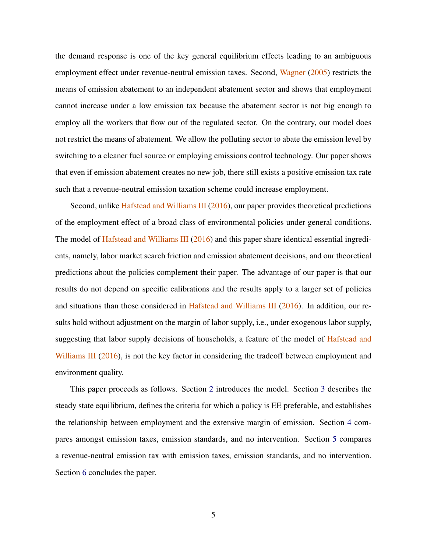the demand response is one of the key general equilibrium effects leading to an ambiguous employment effect under revenue-neutral emission taxes. Second, [Wagner](#page-39-4) [\(2005\)](#page-39-4) restricts the means of emission abatement to an independent abatement sector and shows that employment cannot increase under a low emission tax because the abatement sector is not big enough to employ all the workers that flow out of the regulated sector. On the contrary, our model does not restrict the means of abatement. We allow the polluting sector to abate the emission level by switching to a cleaner fuel source or employing emissions control technology. Our paper shows that even if emission abatement creates no new job, there still exists a positive emission tax rate such that a revenue-neutral emission taxation scheme could increase employment.

Second, unlike [Hafstead and Williams III](#page-37-0) [\(2016\)](#page-37-0), our paper provides theoretical predictions of the employment effect of a broad class of environmental policies under general conditions. The model of [Hafstead and Williams III](#page-37-0) [\(2016\)](#page-37-0) and this paper share identical essential ingredients, namely, labor market search friction and emission abatement decisions, and our theoretical predictions about the policies complement their paper. The advantage of our paper is that our results do not depend on specific calibrations and the results apply to a larger set of policies and situations than those considered in [Hafstead and Williams III](#page-37-0) [\(2016\)](#page-37-0). In addition, our results hold without adjustment on the margin of labor supply, i.e., under exogenous labor supply, suggesting that labor supply decisions of households, a feature of the model of [Hafstead and](#page-37-0) [Williams III](#page-37-0) [\(2016\)](#page-37-0), is not the key factor in considering the tradeoff between employment and environment quality.

This paper proceeds as follows. Section [2](#page-6-0) introduces the model. Section [3](#page-11-0) describes the steady state equilibrium, defines the criteria for which a policy is EE preferable, and establishes the relationship between employment and the extensive margin of emission. Section [4](#page-19-0) compares amongst emission taxes, emission standards, and no intervention. Section [5](#page-25-0) compares a revenue-neutral emission tax with emission taxes, emission standards, and no intervention. Section [6](#page-29-0) concludes the paper.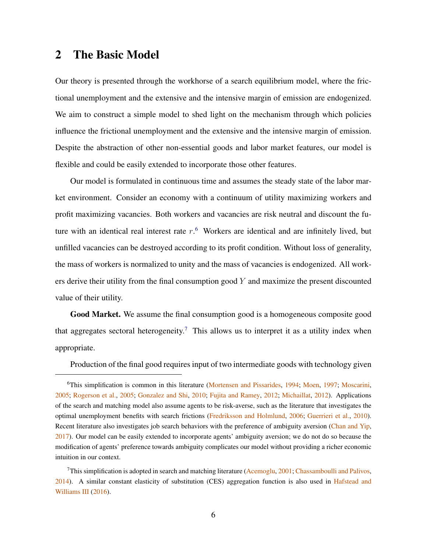### <span id="page-6-0"></span>2 The Basic Model

Our theory is presented through the workhorse of a search equilibrium model, where the frictional unemployment and the extensive and the intensive margin of emission are endogenized. We aim to construct a simple model to shed light on the mechanism through which policies influence the frictional unemployment and the extensive and the intensive margin of emission. Despite the abstraction of other non-essential goods and labor market features, our model is flexible and could be easily extended to incorporate those other features.

Our model is formulated in continuous time and assumes the steady state of the labor market environment. Consider an economy with a continuum of utility maximizing workers and profit maximizing vacancies. Both workers and vacancies are risk neutral and discount the future with an identical real interest rate  $r<sup>6</sup>$  $r<sup>6</sup>$  $r<sup>6</sup>$  Workers are identical and are infinitely lived, but unfilled vacancies can be destroyed according to its profit condition. Without loss of generality, the mass of workers is normalized to unity and the mass of vacancies is endogenized. All workers derive their utility from the final consumption good  $Y$  and maximize the present discounted value of their utility.

Good Market. We assume the final consumption good is a homogeneous composite good that aggregates sectoral heterogeneity.<sup>[7](#page-6-2)</sup> This allows us to interpret it as a utility index when appropriate.

Production of the final good requires input of two intermediate goods with technology given

<span id="page-6-1"></span><sup>&</sup>lt;sup>6</sup>This simplification is common in this literature [\(Mortensen and Pissarides,](#page-38-5) [1994;](#page-38-5) [Moen,](#page-38-6) [1997;](#page-38-6) [Moscarini,](#page-38-7) [2005;](#page-38-7) [Rogerson et al.,](#page-38-3) [2005;](#page-38-3) [Gonzalez and Shi,](#page-36-4) [2010;](#page-36-4) [Fujita and Ramey,](#page-36-5) [2012;](#page-36-5) [Michaillat,](#page-38-8) [2012\)](#page-38-8). Applications of the search and matching model also assume agents to be risk-averse, such as the literature that investigates the optimal unemployment benefits with search frictions [\(Fredriksson and Holmlund,](#page-36-6) [2006;](#page-36-6) [Guerrieri et al.,](#page-37-5) [2010\)](#page-37-5). Recent literature also investigates job search behaviors with the preference of ambiguity aversion [\(Chan and Yip,](#page-35-8) [2017\)](#page-35-8). Our model can be easily extended to incorporate agents' ambiguity aversion; we do not do so because the modification of agents' preference towards ambiguity complicates our model without providing a richer economic intuition in our context.

<span id="page-6-2"></span> $7$ This simplification is adopted in search and matching literature [\(Acemoglu,](#page-35-5) [2001;](#page-35-5) [Chassamboulli and Palivos,](#page-35-6) [2014\)](#page-35-6). A similar constant elasticity of substitution (CES) aggregation function is also used in [Hafstead and](#page-37-0) [Williams III](#page-37-0) [\(2016\)](#page-37-0).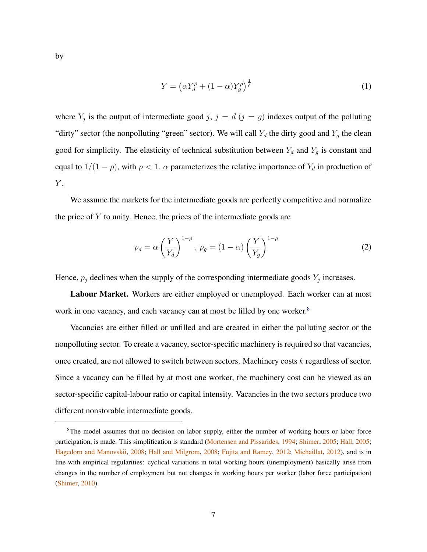by

<span id="page-7-1"></span>
$$
Y = \left(\alpha Y_d^{\rho} + (1 - \alpha)Y_g^{\rho}\right)^{\frac{1}{\rho}}
$$
\n<sup>(1)</sup>

where  $Y_j$  is the output of intermediate good j,  $j = d$  ( $j = g$ ) indexes output of the polluting "dirty" sector (the nonpolluting "green" sector). We will call  $Y_d$  the dirty good and  $Y_g$  the clean good for simplicity. The elasticity of technical substitution between  $Y_d$  and  $Y_g$  is constant and equal to  $1/(1 - \rho)$ , with  $\rho < 1$ .  $\alpha$  parameterizes the relative importance of  $Y_d$  in production of  $Y$ .

We assume the markets for the intermediate goods are perfectly competitive and normalize the price of  $Y$  to unity. Hence, the prices of the intermediate goods are

<span id="page-7-2"></span>
$$
p_d = \alpha \left(\frac{Y}{Y_d}\right)^{1-\rho}, \ p_g = (1-\alpha) \left(\frac{Y}{Y_g}\right)^{1-\rho} \tag{2}
$$

Hence,  $p_j$  declines when the supply of the corresponding intermediate goods  $Y_j$  increases.

Labour Market. Workers are either employed or unemployed. Each worker can at most work in one vacancy, and each vacancy can at most be filled by one worker.<sup>[8](#page-7-0)</sup>

Vacancies are either filled or unfilled and are created in either the polluting sector or the nonpolluting sector. To create a vacancy, sector-specific machinery is required so that vacancies, once created, are not allowed to switch between sectors. Machinery costs k regardless of sector. Since a vacancy can be filled by at most one worker, the machinery cost can be viewed as an sector-specific capital-labour ratio or capital intensity. Vacancies in the two sectors produce two different nonstorable intermediate goods.

<span id="page-7-0"></span><sup>&</sup>lt;sup>8</sup>The model assumes that no decision on labor supply, either the number of working hours or labor force participation, is made. This simplification is standard [\(Mortensen and Pissarides,](#page-38-5) [1994;](#page-38-5) [Shimer,](#page-39-5) [2005;](#page-39-5) [Hall,](#page-37-6) [2005;](#page-37-6) [Hagedorn and Manovskii,](#page-37-7) [2008;](#page-37-7) [Hall and Milgrom,](#page-37-8) [2008;](#page-37-8) [Fujita and Ramey,](#page-36-5) [2012;](#page-36-5) [Michaillat,](#page-38-8) [2012\)](#page-38-8), and is in line with empirical regularities: cyclical variations in total working hours (unemployment) basically arise from changes in the number of employment but not changes in working hours per worker (labor force participation) [\(Shimer,](#page-39-6) [2010\)](#page-39-6).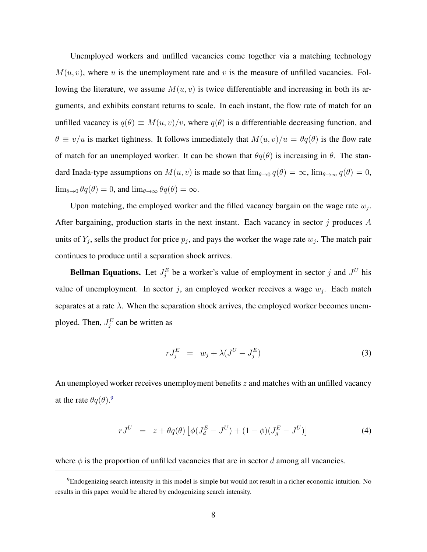Unemployed workers and unfilled vacancies come together via a matching technology  $M(u, v)$ , where u is the unemployment rate and v is the measure of unfilled vacancies. Following the literature, we assume  $M(u, v)$  is twice differentiable and increasing in both its arguments, and exhibits constant returns to scale. In each instant, the flow rate of match for an unfilled vacancy is  $q(\theta) \equiv M(u, v)/v$ , where  $q(\theta)$  is a differentiable decreasing function, and  $\theta \equiv v/u$  is market tightness. It follows immediately that  $M(u, v)/u = \theta q(\theta)$  is the flow rate of match for an unemployed worker. It can be shown that  $\theta q(\theta)$  is increasing in  $\theta$ . The standard Inada-type assumptions on  $M(u, v)$  is made so that  $\lim_{\theta \to 0} q(\theta) = \infty$ ,  $\lim_{\theta \to \infty} q(\theta) = 0$ ,  $\lim_{\theta \to 0} \theta q(\theta) = 0$ , and  $\lim_{\theta \to \infty} \theta q(\theta) = \infty$ .

Upon matching, the employed worker and the filled vacancy bargain on the wage rate  $w_j$ . After bargaining, production starts in the next instant. Each vacancy in sector  $\dot{\eta}$  produces A units of  $Y_j$ , sells the product for price  $p_j$ , and pays the worker the wage rate  $w_j$ . The match pair continues to produce until a separation shock arrives.

**Bellman Equations.** Let  $J_j^E$  be a worker's value of employment in sector j and  $J^U$  his value of unemployment. In sector j, an employed worker receives a wage  $w_j$ . Each match separates at a rate  $\lambda$ . When the separation shock arrives, the employed worker becomes unemployed. Then,  $J_j^E$  can be written as

<span id="page-8-1"></span>
$$
rJ_j^E = w_j + \lambda (J^U - J_j^E) \tag{3}
$$

An unemployed worker receives unemployment benefits  $z$  and matches with an unfilled vacancy at the rate  $\theta q(\theta)$ .<sup>[9](#page-8-0)</sup>

<span id="page-8-2"></span>
$$
rJ^{U} = z + \theta q(\theta) \left[ \phi (J_d^{E} - J^{U}) + (1 - \phi)(J_g^{E} - J^{U}) \right]
$$
 (4)

where  $\phi$  is the proportion of unfilled vacancies that are in sector d among all vacancies.

<span id="page-8-0"></span><sup>&</sup>lt;sup>9</sup>Endogenizing search intensity in this model is simple but would not result in a richer economic intuition. No results in this paper would be altered by endogenizing search intensity.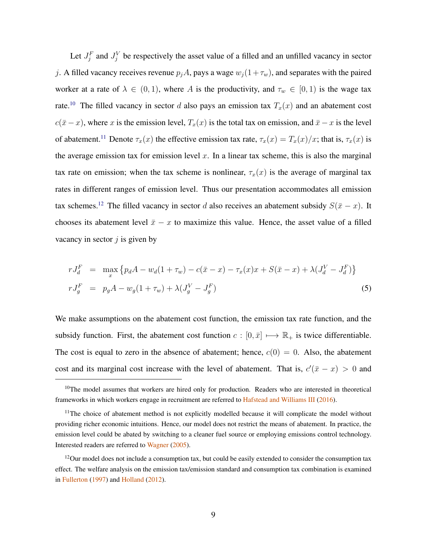Let  $J_j^F$  and  $J_j^V$  be respectively the asset value of a filled and an unfilled vacancy in sector j. A filled vacancy receives revenue  $p_jA$ , pays a wage  $w_j(1 + \tau_w)$ , and separates with the paired worker at a rate of  $\lambda \in (0,1)$ , where A is the productivity, and  $\tau_w \in [0,1)$  is the wage tax rate.<sup>[10](#page-9-0)</sup> The filled vacancy in sector d also pays an emission tax  $T_x(x)$  and an abatement cost  $c(\bar{x} - x)$ , where x is the emission level,  $T_x(x)$  is the total tax on emission, and  $\bar{x} - x$  is the level of abatement.<sup>[11](#page-9-1)</sup> Denote  $\tau_x(x)$  the effective emission tax rate,  $\tau_x(x) = T_x(x)/x$ ; that is,  $\tau_x(x)$  is the average emission tax for emission level  $x$ . In a linear tax scheme, this is also the marginal tax rate on emission; when the tax scheme is nonlinear,  $\tau_x(x)$  is the average of marginal tax rates in different ranges of emission level. Thus our presentation accommodates all emission tax schemes.<sup>[12](#page-9-2)</sup> The filled vacancy in sector d also receives an abatement subsidy  $S(\bar{x} - x)$ . It chooses its abatement level  $\bar{x} - x$  to maximize this value. Hence, the asset value of a filled vacancy in sector  $j$  is given by

<span id="page-9-3"></span>
$$
rJ_d^F = \max_x \left\{ p_d A - w_d (1 + \tau_w) - c(\bar{x} - x) - \tau_x(x)x + S(\bar{x} - x) + \lambda (J_d^V - J_d^F) \right\}
$$
  
\n
$$
rJ_g^F = p_g A - w_g (1 + \tau_w) + \lambda (J_g^V - J_g^F)
$$
\n(5)

We make assumptions on the abatement cost function, the emission tax rate function, and the subsidy function. First, the abatement cost function  $c : [0, \bar{x}] \longmapsto \mathbb{R}_+$  is twice differentiable. The cost is equal to zero in the absence of abatement; hence,  $c(0) = 0$ . Also, the abatement cost and its marginal cost increase with the level of abatement. That is,  $c'(\bar{x} - x) > 0$  and

<span id="page-9-0"></span><sup>&</sup>lt;sup>10</sup>The model assumes that workers are hired only for production. Readers who are interested in theoretical frameworks in which workers engage in recruitment are referred to [Hafstead and Williams III](#page-37-0) [\(2016\)](#page-37-0).

<span id="page-9-1"></span><sup>&</sup>lt;sup>11</sup>The choice of abatement method is not explicitly modelled because it will complicate the model without providing richer economic intuitions. Hence, our model does not restrict the means of abatement. In practice, the emission level could be abated by switching to a cleaner fuel source or employing emissions control technology. Interested readers are referred to [Wagner](#page-39-4) [\(2005\)](#page-39-4).

<span id="page-9-2"></span> $12$ Our model does not include a consumption tax, but could be easily extended to consider the consumption tax effect. The welfare analysis on the emission tax/emission standard and consumption tax combination is examined in [Fullerton](#page-36-7) [\(1997\)](#page-36-7) and [Holland](#page-37-2) [\(2012\)](#page-37-2).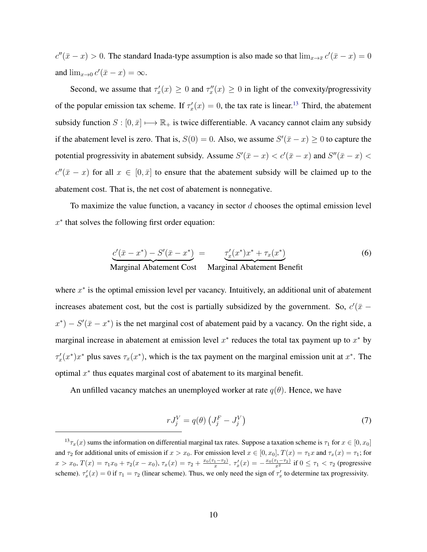$c''(\bar{x} - x) > 0$ . The standard Inada-type assumption is also made so that  $\lim_{x \to \bar{x}} c'(\bar{x} - x) = 0$ and  $\lim_{x\to 0} c'(\bar{x}-x) = \infty$ .

Second, we assume that  $\tau'_x(x) \geq 0$  and  $\tau''_x(x) \geq 0$  in light of the convexity/progressivity of the popular emission tax scheme. If  $\tau'_x(x) = 0$ , the tax rate is linear.<sup>[13](#page-10-0)</sup> Third, the abatement subsidy function  $S : [0, \bar{x}] \longmapsto \mathbb{R}_+$  is twice differentiable. A vacancy cannot claim any subsidy if the abatement level is zero. That is,  $S(0) = 0$ . Also, we assume  $S'(\bar{x} - x) \ge 0$  to capture the potential progressivity in abatement subsidy. Assume  $S'(\bar{x} - x) < c'(\bar{x} - x)$  and  $S''(\bar{x} - x) <$  $c''(\bar{x} - x)$  for all  $x \in [0, \bar{x}]$  to ensure that the abatement subsidy will be claimed up to the abatement cost. That is, the net cost of abatement is nonnegative.

To maximize the value function, a vacancy in sector  $d$  chooses the optimal emission level  $x^*$  that solves the following first order equation:

<span id="page-10-2"></span>
$$
\underbrace{c'(\bar{x} - x^*) - S'(\bar{x} - x^*)}_{\text{Marginal Abatement Cost}} = \underbrace{\tau'_x(x^*)x^* + \tau_x(x^*)}_{\text{Marginal Abatement Benefit}} \tag{6}
$$

where  $x^*$  is the optimal emission level per vacancy. Intuitively, an additional unit of abatement increases abatement cost, but the cost is partially subsidized by the government. So,  $c'(\bar{x}$  –  $x^*$ ) –  $S'(\bar{x} - x^*)$  is the net marginal cost of abatement paid by a vacancy. On the right side, a marginal increase in abatement at emission level  $x^*$  reduces the total tax payment up to  $x^*$  by  $\tau'_x(x^*)x^*$  plus saves  $\tau_x(x^*)$ , which is the tax payment on the marginal emission unit at  $x^*$ . The optimal  $x^*$  thus equates marginal cost of abatement to its marginal benefit.

An unfilled vacancy matches an unemployed worker at rate  $q(\theta)$ . Hence, we have

<span id="page-10-1"></span>
$$
rJ_j^V = q(\theta) \left( J_j^F - J_j^V \right) \tag{7}
$$

<span id="page-10-0"></span> $13\tau_x(x)$  sums the information on differential marginal tax rates. Suppose a taxation scheme is  $\tau_1$  for  $x \in [0, x_0]$ and  $\tau_2$  for additional units of emission if  $x > x_0$ . For emission level  $x \in [0, x_0]$ ,  $T(x) = \tau_1 x$  and  $\tau_x(x) = \tau_1$ ; for  $x > x_0$ ,  $T(x) = \tau_1 x_0 + \tau_2 (x - x_0)$ ,  $\tau_x(x) = \tau_2 + \frac{x_0(\tau_1 - \tau_2)}{x}$ .  $\tau'_x(x) = -\frac{x_0(\tau_1 - \tau_2)}{x^2}$  if  $0 \le \tau_1 < \tau_2$  (progressive scheme).  $\tau'_x(x) = 0$  if  $\tau_1 = \tau_2$  (linear scheme). Thus, we only need the sign of  $\tau'_x$  to determine tax progressivity.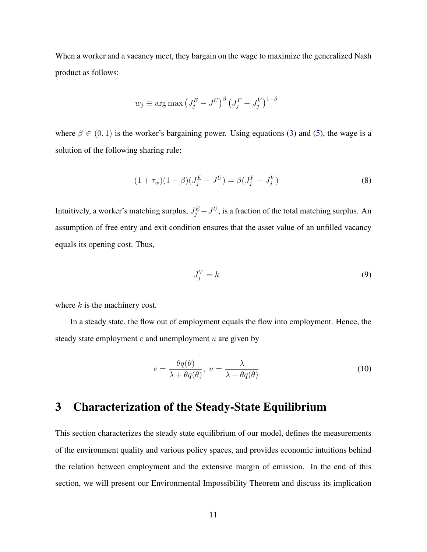When a worker and a vacancy meet, they bargain on the wage to maximize the generalized Nash product as follows:

$$
w_j \equiv \arg \max \left( J_j^E - J^U \right)^\beta \left( J_j^F - J_j^V \right)^{1-\beta}
$$

where  $\beta \in (0, 1)$  is the worker's bargaining power. Using equations [\(3\)](#page-8-1) and [\(5\)](#page-9-3), the wage is a solution of the following sharing rule:

<span id="page-11-1"></span>
$$
(1 + \tau_w)(1 - \beta)(J_j^E - J^U) = \beta(J_j^F - J_j^V)
$$
\n(8)

Intuitively, a worker's matching surplus,  $J_j^E - J^U$ , is a fraction of the total matching surplus. An assumption of free entry and exit condition ensures that the asset value of an unfilled vacancy equals its opening cost. Thus,

<span id="page-11-2"></span>
$$
J_j^V = k \tag{9}
$$

where  $k$  is the machinery cost.

In a steady state, the flow out of employment equals the flow into employment. Hence, the steady state employment  $e$  and unemployment  $u$  are given by

<span id="page-11-3"></span>
$$
e = \frac{\theta q(\theta)}{\lambda + \theta q(\theta)}, \ u = \frac{\lambda}{\lambda + \theta q(\theta)} \tag{10}
$$

### <span id="page-11-0"></span>3 Characterization of the Steady-State Equilibrium

This section characterizes the steady state equilibrium of our model, defines the measurements of the environment quality and various policy spaces, and provides economic intuitions behind the relation between employment and the extensive margin of emission. In the end of this section, we will present our Environmental Impossibility Theorem and discuss its implication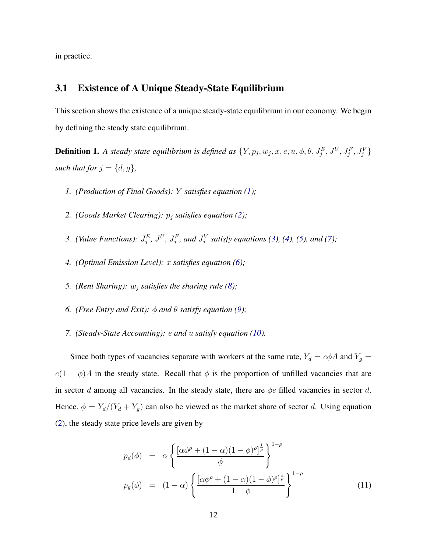in practice.

### 3.1 Existence of A Unique Steady-State Equilibrium

This section shows the existence of a unique steady-state equilibrium in our economy. We begin by defining the steady state equilibrium.

<span id="page-12-0"></span>**Definition 1.** A steady state equilibrium is defined as  $\{Y, p_j, w_j, x, e, u, \phi, \theta, J_j^E, J^U, J_j^F, J_j^V\}$ such that for  $j = \{d, g\}$ ,

- *1. (Production of Final Goods):* Y *satisfies equation [\(1\)](#page-7-1);*
- 2. *(Goods Market Clearing):*  $p_j$  *satisfies equation [\(2\)](#page-7-2);*
- 3. *(Value Functions):*  $J_j^E$ *,*  $J^U$ *,*  $J_j^F$ *, and*  $J_j^V$  *satisfy equations [\(3\)](#page-8-1), [\(4\)](#page-8-2), [\(5\)](#page-9-3), and [\(7\)](#page-10-1);*
- *4. (Optimal Emission Level):* x *satisfies equation [\(6\)](#page-10-2);*
- 5. *(Rent Sharing):*  $w_j$  *satisfies the sharing rule [\(8\)](#page-11-1)*;
- *6. (Free Entry and Exit):*  $\phi$  *and*  $\theta$  *satisfy equation [\(9\)](#page-11-2);*
- *7. (Steady-State Accounting):* e *and* u *satisfy equation [\(10\)](#page-11-3).*

Since both types of vacancies separate with workers at the same rate,  $Y_d = e\phi A$  and  $Y_g =$  $e(1 - \phi)A$  in the steady state. Recall that  $\phi$  is the proportion of unfilled vacancies that are in sector d among all vacancies. In the steady state, there are  $\phi e$  filled vacancies in sector d. Hence,  $\phi = Y_d/(Y_d + Y_g)$  can also be viewed as the market share of sector d. Using equation [\(2\)](#page-7-2), the steady state price levels are given by

<span id="page-12-1"></span>
$$
p_d(\phi) = \alpha \left\{ \frac{\left[ \alpha \phi^{\rho} + (1 - \alpha)(1 - \phi)^{\rho} \right]^{\frac{1}{\rho}}}{\phi} \right\}^{1 - \rho}
$$
  

$$
p_g(\phi) = (1 - \alpha) \left\{ \frac{\left[ \alpha \phi^{\rho} + (1 - \alpha)(1 - \phi)^{\rho} \right]^{\frac{1}{\rho}}}{1 - \phi} \right\}^{1 - \rho}
$$
 (11)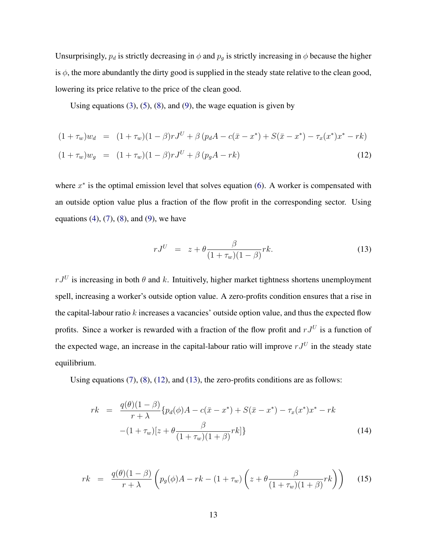Unsurprisingly,  $p_d$  is strictly decreasing in  $\phi$  and  $p_g$  is strictly increasing in  $\phi$  because the higher is  $\phi$ , the more abundantly the dirty good is supplied in the steady state relative to the clean good, lowering its price relative to the price of the clean good.

Using equations  $(3)$ ,  $(5)$ ,  $(8)$ , and  $(9)$ , the wage equation is given by

<span id="page-13-0"></span>
$$
(1 + \tau_w)w_d = (1 + \tau_w)(1 - \beta)rJ^U + \beta (p_d A - c(\bar{x} - x^*) + S(\bar{x} - x^*) - \tau_x(x^*)x^* - rk)
$$
  

$$
(1 + \tau_w)w_g = (1 + \tau_w)(1 - \beta)rJ^U + \beta (p_g A - rk)
$$
 (12)

where  $x^*$  is the optimal emission level that solves equation [\(6\)](#page-10-2). A worker is compensated with an outside option value plus a fraction of the flow profit in the corresponding sector. Using equations  $(4)$ ,  $(7)$ ,  $(8)$ , and  $(9)$ , we have

<span id="page-13-1"></span>
$$
rJ^U = z + \theta \frac{\beta}{(1 + \tau_w)(1 - \beta)} r k. \tag{13}
$$

 $rJ^U$  is increasing in both  $\theta$  and k. Intuitively, higher market tightness shortens unemployment spell, increasing a worker's outside option value. A zero-profits condition ensures that a rise in the capital-labour ratio  $k$  increases a vacancies' outside option value, and thus the expected flow profits. Since a worker is rewarded with a fraction of the flow profit and  $rJ^U$  is a function of the expected wage, an increase in the capital-labour ratio will improve  $rJ^U$  in the steady state equilibrium.

Using equations  $(7)$ ,  $(8)$ ,  $(12)$ , and  $(13)$ , the zero-profits conditions are as follows:

<span id="page-13-2"></span>
$$
rk = \frac{q(\theta)(1-\beta)}{r+\lambda} \{p_d(\phi)A - c(\bar{x} - x^*) + S(\bar{x} - x^*) - \tau_x(x^*)x^* - rk - (1+\tau_w)[z + \theta \frac{\beta}{(1+\tau_w)(1+\beta)}rk] \}
$$
(14)

<span id="page-13-3"></span>
$$
rk = \frac{q(\theta)(1-\beta)}{r+\lambda} \left( p_g(\phi)A - rk - (1+\tau_w) \left( z + \theta \frac{\beta}{(1+\tau_w)(1+\beta)} rk \right) \right) \tag{15}
$$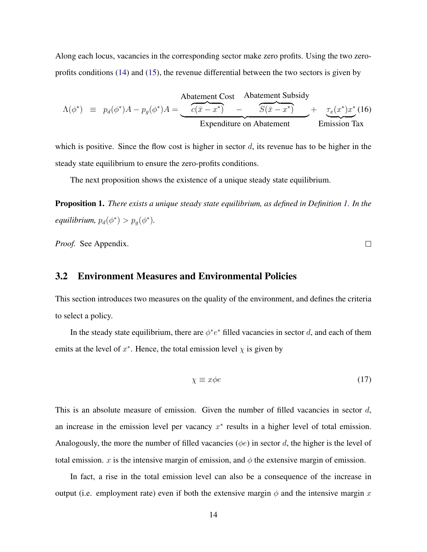Along each locus, vacancies in the corresponding sector make zero profits. Using the two zeroprofits conditions [\(14\)](#page-13-2) and [\(15\)](#page-13-3), the revenue differential between the two sectors is given by

<span id="page-14-1"></span>
$$
\Lambda(\phi^*) \equiv p_d(\phi^*)A - p_g(\phi^*)A = \underbrace{\underbrace{\begin{array}{c} \text{Abatement Cost} & \text{Abatement Subsidy} \\ \hline c(\bar{x} - x^*) & - & \overbrace{S(\bar{x} - x^*)}^{K(\bar{x} - x^*)} \\ \hline \text{Expenditure on Abatement} & \text{Emission Tax} \end{array}}_{\text{Emission Tax}}
$$

which is positive. Since the flow cost is higher in sector  $d$ , its revenue has to be higher in the steady state equilibrium to ensure the zero-profits conditions.

The next proposition shows the existence of a unique steady state equilibrium.

<span id="page-14-2"></span>Proposition 1. *There exists a unique steady state equilibrium, as defined in Definition [1.](#page-12-0) In the*  $\epsilon$ *equilibrium,*  $p_d(\phi^*) > p_g(\phi^*)$ .

*Proof.* See Appendix.

### 3.2 Environment Measures and Environmental Policies

This section introduces two measures on the quality of the environment, and defines the criteria to select a policy.

In the steady state equilibrium, there are  $\phi^*e^*$  filled vacancies in sector d, and each of them emits at the level of  $x^*$ . Hence, the total emission level  $\chi$  is given by

<span id="page-14-0"></span>
$$
\chi \equiv x\phi e \tag{17}
$$

This is an absolute measure of emission. Given the number of filled vacancies in sector  $d$ , an increase in the emission level per vacancy  $x^*$  results in a higher level of total emission. Analogously, the more the number of filled vacancies ( $\phi e$ ) in sector d, the higher is the level of total emission. x is the intensive margin of emission, and  $\phi$  the extensive margin of emission.

In fact, a rise in the total emission level can also be a consequence of the increase in output (i.e. employment rate) even if both the extensive margin  $\phi$  and the intensive margin x

 $\Box$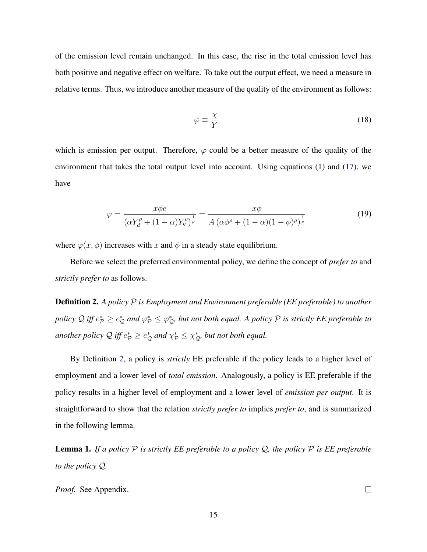of the emission level remain unchanged. In this case, the rise in the total emission level has both positive and negative effect on welfare. To take out the output effect, we need a measure in relative terms. Thus, we introduce another measure of the quality of the environment as follows:

$$
\varphi \equiv \frac{\chi}{Y} \tag{18}
$$

which is emission per output. Therefore,  $\varphi$  could be a better measure of the quality of the environment that takes the total output level into account. Using equations [\(1\)](#page-7-1) and [\(17\)](#page-14-0), we have

<span id="page-15-1"></span>
$$
\varphi = \frac{x\phi e}{\left(\alpha Y_d^{\rho} + (1-\alpha)Y_g^{\rho}\right)^{\frac{1}{\rho}}} = \frac{x\phi}{A\left(\alpha\phi^{\rho} + (1-\alpha)(1-\phi)^{\rho}\right)^{\frac{1}{\rho}}}
$$
(19)

where  $\varphi(x, \phi)$  increases with x and  $\phi$  in a steady state equilibrium.

Before we select the preferred environmental policy, we define the concept of *prefer to* and *strictly prefer to* as follows.

<span id="page-15-0"></span>Definition 2. *A policy* P *is Employment and Environment preferable (EE preferable) to another* policy Q iff  $e^*_\mathcal{P} \ge e^*_\mathcal{Q}$  and  $\varphi^*_\mathcal{P} \le \varphi^*_\mathcal{Q}$ , but not both equal. A policy  $\mathcal P$  is strictly EE preferable to another policy  $\mathcal Q$  iff  $e^*_{\mathcal P} \geq e^*_{\mathcal Q}$  and  $\chi^*_{\mathcal P} \leq \chi^*_{\mathcal Q}$ , but not both equal.

By Definition [2,](#page-15-0) a policy is *strictly* EE preferable if the policy leads to a higher level of employment and a lower level of *total emission*. Analogously, a policy is EE preferable if the policy results in a higher level of employment and a lower level of *emission per output*. It is straightforward to show that the relation *strictly prefer to* implies *prefer to*, and is summarized in the following lemma.

<span id="page-15-2"></span>**Lemma 1.** If a policy  $P$  is strictly EE preferable to a policy  $Q$ , the policy  $P$  is EE preferable *to the policy* Q*.*

*Proof.* See Appendix.

 $\Box$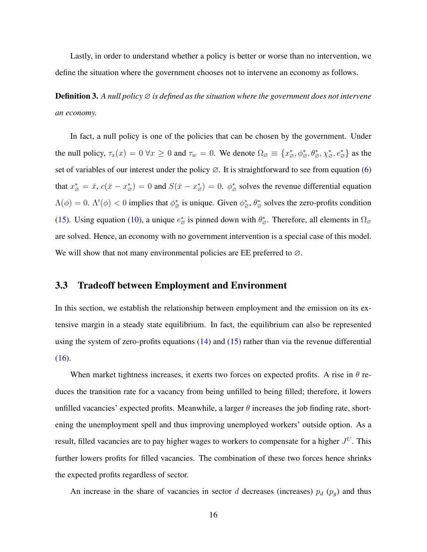Lastly, in order to understand whether a policy is better or worse than no intervention, we define the situation where the government chooses not to intervene an economy as follows.

Definition 3. *A null policy* ∅ *is defined as the situation where the government does not intervene an economy.*

In fact, a null policy is one of the policies that can be chosen by the government. Under the null policy,  $\tau_x(x) = 0 \,\forall x \ge 0$  and  $\tau_w = 0$ . We denote  $\Omega_{\emptyset} \equiv \{x^*_{\emptyset}, \phi^*_{\emptyset}, \theta^*_{\emptyset}, \chi^*_{\emptyset}, e^*_{\emptyset}\}$  as the set of variables of our interest under the policy  $\varnothing$ . It is straightforward to see from equation [\(6\)](#page-10-2) that  $x^*_{\varnothing} = \bar{x}$ ,  $c(\bar{x} - x^*_{\varnothing}) = 0$  and  $S(\bar{x} - x^*_{\varnothing}) = 0$ .  $\phi^*_{\varnothing}$  solves the revenue differential equation  $\Lambda(\phi) = 0$ .  $\Lambda'(\phi) < 0$  implies that  $\phi^*_{\alpha}$  is unique. Given  $\phi^*_{\alpha}$ ,  $\theta^*_{\alpha}$  solves the zero-profits condition [\(15\)](#page-13-3). Using equation [\(10\)](#page-11-3), a unique  $e^*_{\sigma}$  is pinned down with  $\theta^*_{\sigma}$ . Therefore, all elements in  $\Omega_{\sigma}$ are solved. Hence, an economy with no government intervention is a special case of this model. We will show that not many environmental policies are EE preferred to ∅.

#### 3.3 Tradeoff between Employment and Environment

In this section, we establish the relationship between employment and the emission on its extensive margin in a steady state equilibrium. In fact, the equilibrium can also be represented using the system of zero-profits equations [\(14\)](#page-13-2) and [\(15\)](#page-13-3) rather than via the revenue differential [\(16\)](#page-14-1).

When market tightness increases, it exerts two forces on expected profits. A rise in  $\theta$  reduces the transition rate for a vacancy from being unfilled to being filled; therefore, it lowers unfilled vacancies' expected profits. Meanwhile, a larger  $\theta$  increases the job finding rate, shortening the unemployment spell and thus improving unemployed workers' outside option. As a result, filled vacancies are to pay higher wages to workers to compensate for a higher  $J^U$ . This further lowers profits for filled vacancies. The combination of these two forces hence shrinks the expected profits regardless of sector.

An increase in the share of vacancies in sector d decreases (increases)  $p_d$  ( $p_g$ ) and thus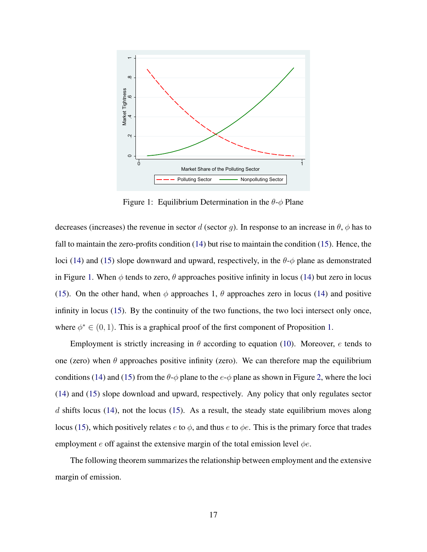<span id="page-17-0"></span>

Figure 1: Equilibrium Determination in the  $\theta$ - $\phi$  Plane

decreases (increases) the revenue in sector d (sector g). In response to an increase in  $\theta$ ,  $\phi$  has to fall to maintain the zero-profits condition [\(14\)](#page-13-2) but rise to maintain the condition [\(15\)](#page-13-3). Hence, the loci [\(14\)](#page-13-2) and [\(15\)](#page-13-3) slope downward and upward, respectively, in the  $\theta$ - $\phi$  plane as demonstrated in Figure [1.](#page-17-0) When  $\phi$  tends to zero,  $\theta$  approaches positive infinity in locus [\(14\)](#page-13-2) but zero in locus [\(15\)](#page-13-3). On the other hand, when  $\phi$  approaches 1,  $\theta$  approaches zero in locus [\(14\)](#page-13-2) and positive infinity in locus [\(15\)](#page-13-3). By the continuity of the two functions, the two loci intersect only once, where  $\phi^* \in (0, 1)$ . This is a graphical proof of the first component of Proposition [1.](#page-14-2)

Employment is strictly increasing in  $\theta$  according to equation [\(10\)](#page-11-3). Moreover, e tends to one (zero) when  $\theta$  approaches positive infinity (zero). We can therefore map the equilibrium conditions [\(14\)](#page-13-2) and [\(15\)](#page-13-3) from the  $\theta$ - $\phi$  plane to the  $e$ - $\phi$  plane as shown in Figure [2,](#page-18-0) where the loci [\(14\)](#page-13-2) and [\(15\)](#page-13-3) slope download and upward, respectively. Any policy that only regulates sector d shifts locus [\(14\)](#page-13-2), not the locus [\(15\)](#page-13-3). As a result, the steady state equilibrium moves along locus [\(15\)](#page-13-3), which positively relates  $e$  to  $\phi$ , and thus  $e$  to  $\phi e$ . This is the primary force that trades employment e off against the extensive margin of the total emission level  $\phi e$ .

The following theorem summarizes the relationship between employment and the extensive margin of emission.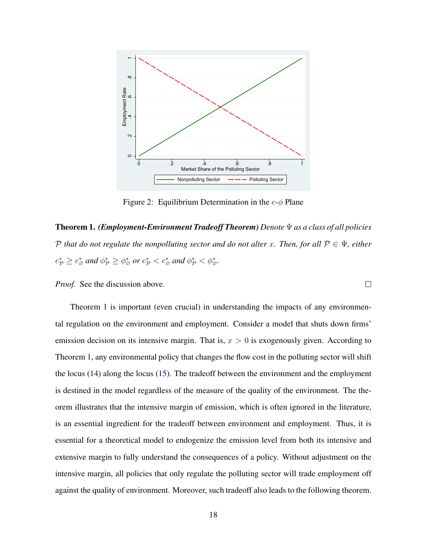<span id="page-18-0"></span>

Figure 2: Equilibrium Determination in the  $e$ - $\phi$  Plane

<span id="page-18-1"></span>Theorem 1. *(Employment-Environment Tradeoff Theorem) Denote* Ψ *as a class of all policies* P *that do not regulate the nonpolluting sector and do not alter* x. Then, for all  $P \in \Psi$ *, either*  $e^*_{\mathcal{P}} \geq e^*_{\varnothing}$  and  $\phi^*_{\mathcal{P}} \geq \phi^*_{\varnothing}$  or  $e^*_{\mathcal{P}} < e^*_{\varnothing}$  and  $\phi^*_{\mathcal{P}} < \phi^*_{\varnothing}$ .

 $\Box$ 

*Proof.* See the discussion above.

Theorem [1](#page-18-1) is important (even crucial) in understanding the impacts of any environmental regulation on the environment and employment. Consider a model that shuts down firms' emission decision on its intensive margin. That is,  $x > 0$  is exogenously given. According to Theorem [1,](#page-18-1) any environmental policy that changes the flow cost in the polluting sector will shift the locus [\(14\)](#page-13-2) along the locus [\(15\)](#page-13-3). The tradeoff between the environment and the employment is destined in the model regardless of the measure of the quality of the environment. The theorem illustrates that the intensive margin of emission, which is often ignored in the literature, is an essential ingredient for the tradeoff between environment and employment. Thus, it is essential for a theoretical model to endogenize the emission level from both its intensive and extensive margin to fully understand the consequences of a policy. Without adjustment on the intensive margin, all policies that only regulate the polluting sector will trade employment off against the quality of environment. Moreover, such tradeoff also leads to the following theorem.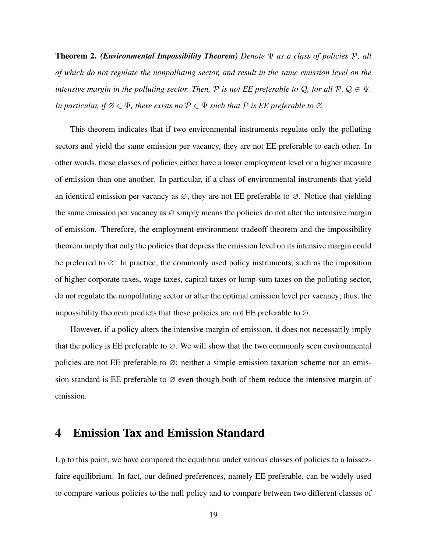Theorem 2. *(Environmental Impossibility Theorem) Denote* Ψ *as a class of policies* P*, all of which do not regulate the nonpolluting sector, and result in the same emission level on the intensive margin in the polluting sector. Then,*  $P$  *is not EE preferable to*  $Q$ *, for all*  $P$ *,*  $Q \in \Psi$ *. In particular, if*  $\emptyset \in \Psi$ *, there exists no*  $\mathcal{P} \in \Psi$  *such that*  $\mathcal{P}$  *is EE preferable to*  $\emptyset$ *.* 

This theorem indicates that if two environmental instruments regulate only the polluting sectors and yield the same emission per vacancy, they are not EE preferable to each other. In other words, these classes of policies either have a lower employment level or a higher measure of emission than one another. In particular, if a class of environmental instruments that yield an identical emission per vacancy as  $\varnothing$ , they are not EE preferable to  $\varnothing$ . Notice that yielding the same emission per vacancy as  $\varnothing$  simply means the policies do not alter the intensive margin of emission. Therefore, the employment-environment tradeoff theorem and the impossibility theorem imply that only the policies that depress the emission level on its intensive margin could be preferred to  $\varnothing$ . In practice, the commonly used policy instruments, such as the imposition of higher corporate taxes, wage taxes, capital taxes or lump-sum taxes on the polluting sector, do not regulate the nonpolluting sector or alter the optimal emission level per vacancy; thus, the impossibility theorem predicts that these policies are not EE preferable to  $\varnothing$ .

However, if a policy alters the intensive margin of emission, it does not necessarily imply that the policy is EE preferable to  $\varnothing$ . We will show that the two commonly seen environmental policies are not EE preferable to  $\varnothing$ ; neither a simple emission taxation scheme nor an emission standard is EE preferable to  $\varnothing$  even though both of them reduce the intensive margin of emission.

### <span id="page-19-0"></span>4 Emission Tax and Emission Standard

Up to this point, we have compared the equilibria under various classes of policies to a laissezfaire equilibrium. In fact, our defined preferences, namely EE preferable, can be widely used to compare various policies to the null policy and to compare between two different classes of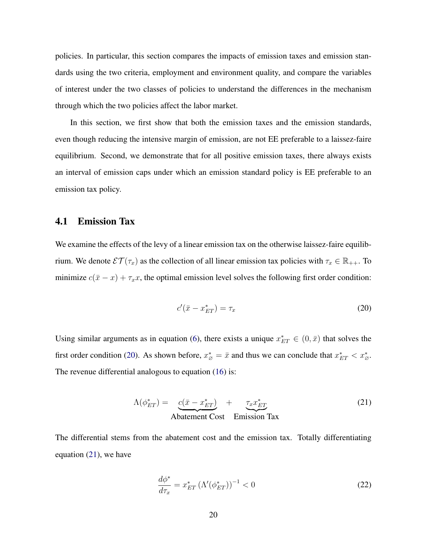policies. In particular, this section compares the impacts of emission taxes and emission standards using the two criteria, employment and environment quality, and compare the variables of interest under the two classes of policies to understand the differences in the mechanism through which the two policies affect the labor market.

In this section, we first show that both the emission taxes and the emission standards, even though reducing the intensive margin of emission, are not EE preferable to a laissez-faire equilibrium. Second, we demonstrate that for all positive emission taxes, there always exists an interval of emission caps under which an emission standard policy is EE preferable to an emission tax policy.

#### 4.1 Emission Tax

We examine the effects of the levy of a linear emission tax on the otherwise laissez-faire equilibrium. We denote  $\mathcal{ET}(\tau_x)$  as the collection of all linear emission tax policies with  $\tau_x \in \mathbb{R}_{++}$ . To minimize  $c(\bar{x} - x) + \tau_x x$ , the optimal emission level solves the following first order condition:

<span id="page-20-0"></span>
$$
c'(\bar{x} - x_{ET}^*) = \tau_x \tag{20}
$$

Using similar arguments as in equation [\(6\)](#page-10-2), there exists a unique  $x_{ET}^* \in (0, \bar{x})$  that solves the first order condition [\(20\)](#page-20-0). As shown before,  $x^*_{\varnothing} = \bar{x}$  and thus we can conclude that  $x^*_{ET} < x^*_{\varnothing}$ . The revenue differential analogous to equation [\(16\)](#page-14-1) is:

<span id="page-20-1"></span>
$$
\Lambda(\phi_{ET}^*) = \underbrace{c(\bar{x} - x_{ET}^*)}_{\text{Abatement Cost}} + \underbrace{\tau_x x_{ET}^*}_{\text{Emission Tax}} \tag{21}
$$

The differential stems from the abatement cost and the emission tax. Totally differentiating equation [\(21\)](#page-20-1), we have

$$
\frac{d\phi^*}{d\tau_x} = x_{ET}^* \left(\Lambda'(\phi_{ET}^*)\right)^{-1} < 0\tag{22}
$$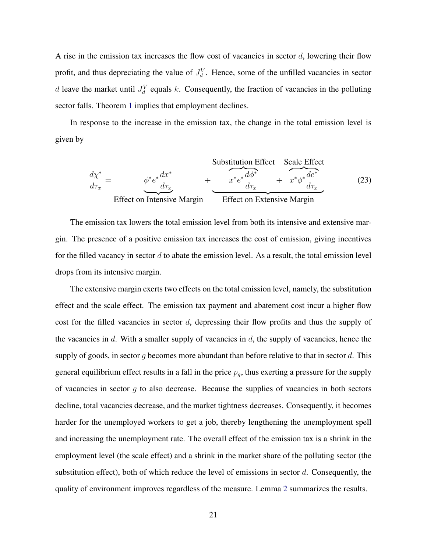A rise in the emission tax increases the flow cost of vacancies in sector  $d$ , lowering their flow profit, and thus depreciating the value of  $J_d^V$ . Hence, some of the unfilled vacancies in sector d leave the market until  $J_d^V$  equals k. Consequently, the fraction of vacancies in the polluting sector falls. Theorem [1](#page-18-1) implies that employment declines.

In response to the increase in the emission tax, the change in the total emission level is given by

Substitution Effect  
\n
$$
\frac{d\chi^*}{d\tau_x} = \phi^* e^* \frac{dx^*}{d\tau_x} + \frac{\chi^* e^* \frac{d\phi^*}{d\tau_x}}{d\tau_x} + \frac{\chi^* e^* \frac{d\phi^*}{d\tau_x}}{d\tau_x}
$$
\n(23)  
\nEffect on Intensive Margin  
\nEffect on Extensive Margin

The emission tax lowers the total emission level from both its intensive and extensive margin. The presence of a positive emission tax increases the cost of emission, giving incentives for the filled vacancy in sector d to abate the emission level. As a result, the total emission level drops from its intensive margin.

The extensive margin exerts two effects on the total emission level, namely, the substitution effect and the scale effect. The emission tax payment and abatement cost incur a higher flow cost for the filled vacancies in sector  $d$ , depressing their flow profits and thus the supply of the vacancies in  $d$ . With a smaller supply of vacancies in  $d$ , the supply of vacancies, hence the supply of goods, in sector q becomes more abundant than before relative to that in sector  $d$ . This general equilibrium effect results in a fall in the price  $p_g$ , thus exerting a pressure for the supply of vacancies in sector  $g$  to also decrease. Because the supplies of vacancies in both sectors decline, total vacancies decrease, and the market tightness decreases. Consequently, it becomes harder for the unemployed workers to get a job, thereby lengthening the unemployment spell and increasing the unemployment rate. The overall effect of the emission tax is a shrink in the employment level (the scale effect) and a shrink in the market share of the polluting sector (the substitution effect), both of which reduce the level of emissions in sector  $d$ . Consequently, the quality of environment improves regardless of the measure. Lemma [2](#page-22-0) summarizes the results.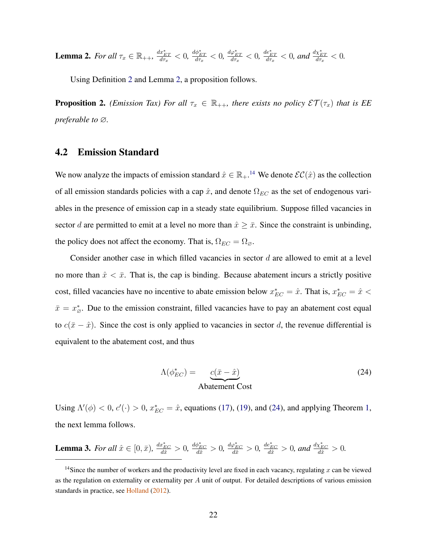<span id="page-22-0"></span>**Lemma 2.** For all  $\tau_x \in \mathbb{R}_{++}$ ,  $\frac{dx_{ET}^*}{d\tau_x} < 0$ ,  $\frac{d\phi_{ET}^*}{d\tau_x} < 0$ ,  $\frac{d\phi_{ET}^*}{d\tau_x} < 0$ , and  $\frac{dx_{ET}^*}{d\tau_x} < 0$ .

Using Definition [2](#page-15-0) and Lemma [2,](#page-22-0) a proposition follows.

<span id="page-22-4"></span>**Proposition 2.** *(Emission Tax) For all*  $\tau_x \in \mathbb{R}_{++}$ *, there exists no policy*  $\mathcal{ET}(\tau_x)$  *that is EE preferable to* ∅*.*

#### 4.2 Emission Standard

We now analyze the impacts of emission standard  $\hat{x} \in \mathbb{R}_{+}$ .<sup>[14](#page-22-1)</sup> We denote  $\mathcal{EC}(\hat{x})$  as the collection of all emission standards policies with a cap  $\hat{x}$ , and denote  $\Omega_{EC}$  as the set of endogenous variables in the presence of emission cap in a steady state equilibrium. Suppose filled vacancies in sector d are permitted to emit at a level no more than  $\hat{x} \geq \bar{x}$ . Since the constraint is unbinding, the policy does not affect the economy. That is,  $\Omega_{EC} = \Omega_{\emptyset}$ .

Consider another case in which filled vacancies in sector d are allowed to emit at a level no more than  $\hat{x} < \bar{x}$ . That is, the cap is binding. Because abatement incurs a strictly positive cost, filled vacancies have no incentive to abate emission below  $x_{EC}^* = \hat{x}$ . That is,  $x_{EC}^* = \hat{x}$  $\bar{x} = x^*_{\varnothing}$ . Due to the emission constraint, filled vacancies have to pay an abatement cost equal to  $c(\bar{x} - \hat{x})$ . Since the cost is only applied to vacancies in sector d, the revenue differential is equivalent to the abatement cost, and thus

<span id="page-22-2"></span>
$$
\Lambda(\phi_{EC}^*) = \underbrace{c(\bar{x} - \hat{x})}_{\text{Abatement Cost}}
$$
\n(24)

Using  $\Lambda'(\phi) < 0$ ,  $c'(\cdot) > 0$ ,  $x_{EC}^* = \hat{x}$ , equations [\(17\)](#page-14-0), [\(19\)](#page-15-1), and [\(24\)](#page-22-2), and applying Theorem [1,](#page-18-1) the next lemma follows.

<span id="page-22-3"></span>**Lemma 3.** For all  $\hat{x} \in [0, \bar{x})$ ,  $\frac{dx^*_{EC}}{d\hat{x}} > 0$ ,  $\frac{d\phi^*_{EC}}{d\hat{x}} > 0$ ,  $\frac{d\phi^*_{EC}}{d\hat{x}} > 0$ , and  $\frac{dx^*_{EC}}{d\hat{x}} > 0$ .

<span id="page-22-1"></span><sup>&</sup>lt;sup>14</sup>Since the number of workers and the productivity level are fixed in each vacancy, regulating x can be viewed as the regulation on externality or externality per  $A$  unit of output. For detailed descriptions of various emission standards in practice, see [Holland](#page-37-2) [\(2012\)](#page-37-2).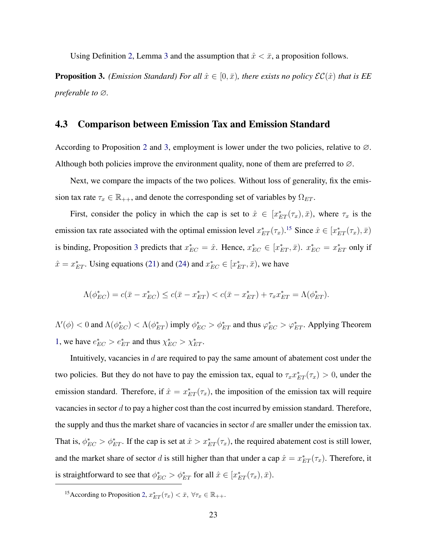Using Definition [2,](#page-15-0) Lemma [3](#page-22-3) and the assumption that  $\hat{x} < \bar{x}$ , a proposition follows.

<span id="page-23-0"></span>**Proposition 3.** *(Emission Standard) For all*  $\hat{x} \in [0, \bar{x})$ *, there exists no policy*  $\mathcal{EC}(\hat{x})$  *that is EE preferable to* ∅*.*

#### 4.3 Comparison between Emission Tax and Emission Standard

According to Proposition [2](#page-22-4) and [3,](#page-23-0) employment is lower under the two policies, relative to  $\varnothing$ . Although both policies improve the environment quality, none of them are preferred to  $\varnothing$ .

Next, we compare the impacts of the two polices. Without loss of generality, fix the emission tax rate  $\tau_x \in \mathbb{R}_{++}$ , and denote the corresponding set of variables by  $\Omega_{ET}$ .

First, consider the policy in which the cap is set to  $\hat{x} \in [x_{ET}^*(\tau_x), \bar{x})$ , where  $\tau_x$  is the emission tax rate associated with the optimal emission level  $x_{ET}^*(\tau_x)$ .<sup>[15](#page-23-1)</sup> Since  $\hat{x} \in [x_{ET}^*(\tau_x), \bar{x})$ is binding, Proposition [3](#page-23-0) predicts that  $x_{EC}^* = \hat{x}$ . Hence,  $x_{EC}^* \in [x_{ET}^*, \bar{x})$ .  $x_{EC}^* = x_{ET}^*$  only if  $\hat{x} = x_{ET}^*$ . Using equations [\(21\)](#page-20-1) and [\(24\)](#page-22-2) and  $x_{EC}^* \in [x_{ET}^*, \bar{x})$ , we have

$$
\Lambda(\phi_{EC}^*) = c(\bar{x} - x_{EC}^*) \le c(\bar{x} - x_{ET}^*) < c(\bar{x} - x_{ET}^*) + \tau_x x_{ET}^* = \Lambda(\phi_{ET}^*).
$$

 $\Lambda'(\phi) < 0$  and  $\Lambda(\phi_{EC}^*) < \Lambda(\phi_{ET}^*)$  imply  $\phi_{EC}^* > \phi_{ET}^*$  and thus  $\varphi_{EC}^* > \varphi_{ET}^*$ . Applying Theorem [1,](#page-18-1) we have  $e_{EC}^* > e_{ET}^*$  and thus  $\chi_{EC}^* > \chi_{ET}^*$ .

Intuitively, vacancies in  $d$  are required to pay the same amount of abatement cost under the two policies. But they do not have to pay the emission tax, equal to  $\tau_x x_{ET}^*(\tau_x) > 0$ , under the emission standard. Therefore, if  $\hat{x} = x_{ET}^*(\tau_x)$ , the imposition of the emission tax will require vacancies in sector d to pay a higher cost than the cost incurred by emission standard. Therefore, the supply and thus the market share of vacancies in sector  $d$  are smaller under the emission tax. That is,  $\phi_{EC}^* > \phi_{ET}^*$ . If the cap is set at  $\hat{x} > x_{ET}^*(\tau_x)$ , the required abatement cost is still lower, and the market share of sector d is still higher than that under a cap  $\hat{x} = x_{ET}^*(\tau_x)$ . Therefore, it is straightforward to see that  $\phi_{EC}^* > \phi_{ET}^*$  for all  $\hat{x} \in [x_{ET}^*(\tau_x), \bar{x})$ .

<span id="page-23-1"></span><sup>&</sup>lt;sup>15</sup> According to Proposition [2,](#page-22-4)  $x_{ET}^*(\tau_x) < \bar{x}$ ,  $\forall \tau_x \in \mathbb{R}_{++}$ .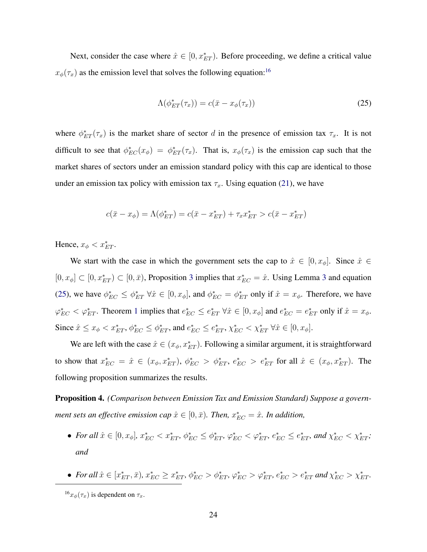Next, consider the case where  $\hat{x} \in [0, x_{ET}^*]$ . Before proceeding, we define a critical value  $x_{\phi}(\tau_x)$  as the emission level that solves the following equation:<sup>[16](#page-24-0)</sup>

<span id="page-24-1"></span>
$$
\Lambda(\phi_{ET}^*(\tau_x)) = c(\bar{x} - x_{\phi}(\tau_x))
$$
\n(25)

where  $\phi_{ET}^*(\tau_x)$  is the market share of sector d in the presence of emission tax  $\tau_x$ . It is not difficult to see that  $\phi_{EC}^*(x_\phi) = \phi_{ET}^*(\tau_x)$ . That is,  $x_\phi(\tau_x)$  is the emission cap such that the market shares of sectors under an emission standard policy with this cap are identical to those under an emission tax policy with emission tax  $\tau_x$ . Using equation [\(21\)](#page-20-1), we have

$$
c(\bar{x} - x_{\phi}) = \Lambda(\phi_{ET}^*) = c(\bar{x} - x_{ET}^*) + \tau_x x_{ET}^* > c(\bar{x} - x_{ET}^*)
$$

Hence,  $x_{\phi} < x_{ET}^*$ .

We start with the case in which the government sets the cap to  $\hat{x} \in [0, x_{\phi}]$ . Since  $\hat{x} \in$  $[0, x_{\phi}] \subset [0, x_{ET}^* ) \subset [0, \bar{x}]$ , Proposition [3](#page-22-3) implies that  $x_{EC}^* = \hat{x}$ . Using Lemma 3 and equation [\(25\)](#page-24-1), we have  $\phi_{EC}^* \leq \phi_{ET}^* \ \forall \hat{x} \in [0, x_{\phi}]$ , and  $\phi_{EC}^* = \phi_{ET}^*$  only if  $\hat{x} = x_{\phi}$ . Therefore, we have  $\varphi_{EC}^* < \varphi_{ET}^*$ . Theorem [1](#page-18-1) implies that  $e_{EC}^* \leq e_{ET}^* \,\forall \hat{x} \in [0, x_{\phi}]$  and  $e_{EC}^* = e_{ET}^*$  only if  $\hat{x} = x_{\phi}$ . Since  $\hat{x} \le x_{\phi} < x_{ET}^*$ ,  $\phi_{EC}^* \le \phi_{ET}^*$ , and  $e_{EC}^* \le e_{ET}^*$ ,  $\chi_{EC}^* < \chi_{ET}^*$   $\forall \hat{x} \in [0, x_{\phi}]$ .

We are left with the case  $\hat{x} \in (x_{\phi}, x_{ET}^*)$ . Following a similar argument, it is straightforward to show that  $x_{EC}^* = \hat{x} \in (x_{\phi}, x_{ET}^*), \ \phi_{EC}^* > \phi_{ET}^*, \ e_{EC}^* > e_{ET}^*$  for all  $\hat{x} \in (x_{\phi}, x_{ET}^*).$  The following proposition summarizes the results.

<span id="page-24-2"></span>Proposition 4. *(Comparison between Emission Tax and Emission Standard) Suppose a government sets an effective emission cap*  $\hat{x} \in [0, \bar{x})$ *. Then,*  $x^*_{EC} = \hat{x}$ *. In addition,* 

- For all  $\hat{x} \in [0, x_{\phi}]$ ,  $x_{EC}^* < x_{ET}^*$ ,  $\phi_{EC}^* \leq \phi_{ET}^*$ ,  $\varphi_{EC}^* < \varphi_{ET}^*$ ,  $e_{EC}^* \leq e_{ET}^*$ , and  $\chi_{EC}^* < \chi_{ET}^*$ ; *and*
- For all  $\hat{x} \in [x_{ET}^*, \bar{x}), x_{EC}^* \ge x_{ET}^*, \phi_{EC}^* > \phi_{ET}^*, \varphi_{EC}^* > \varphi_{ET}^*, e_{EC}^* > e_{ET}^*$  and  $\chi_{EC}^* > \chi_{ET}^*$ .

<span id="page-24-0"></span> $^{16}x_{\phi}(\tau_x)$  is dependent on  $\tau_x$ .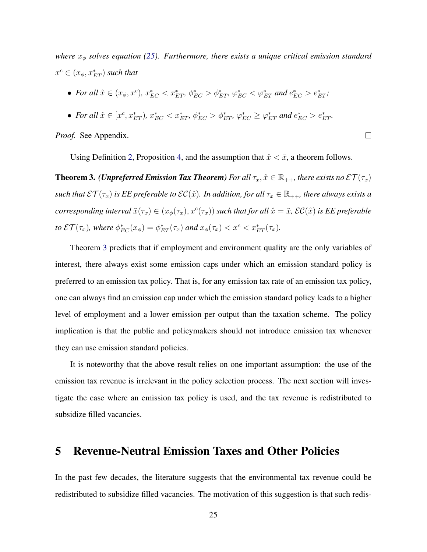*where*  $x_{\phi}$  *solves equation [\(25\)](#page-24-1). Furthermore, there exists a unique critical emission standard*  $x^c \in (x_\phi, x^*_{ET})$  such that

- For all  $\hat{x} \in (x_{\phi}, x^c)$ ,  $x_{EC}^* < x_{ET}^*$ ,  $\phi_{EC}^* > \phi_{ET}^*$ ,  $\varphi_{EC}^* < \varphi_{ET}^*$  and  $e_{EC}^* > e_{ET}^*$ ;
- For all  $\hat{x} \in [x^c, x^*_{ET})$ ,  $x^*_{EC} < x^*_{ET}$ ,  $\phi^*_{EC} > \phi^*_{ET}$ ,  $\varphi^*_{EC} \geq \varphi^*_{ET}$  and  $e^*_{EC} > e^*_{ET}$ .

*Proof.* See Appendix.

Using Definition [2,](#page-15-0) Proposition [4,](#page-24-2) and the assumption that  $\hat{x} < \bar{x}$ , a theorem follows.

 $\Box$ 

<span id="page-25-1"></span>**Theorem 3.** *(Unpreferred Emission Tax Theorem) For all*  $\tau_x, \hat{x} \in \mathbb{R}_{++}$ *, there exists no*  $\mathcal{ET}(\tau_x)$ *such that*  $\mathcal{ET}(\tau_x)$  *is EE preferable to*  $\mathcal{EC}(\hat{x})$ *. In addition, for all*  $\tau_x \in \mathbb{R}_{++}$ *, there always exists a*  $corresponding$  interval  $\tilde{x}(\tau_x)\in (x_\phi(\tau_x),x^c(\tau_x))$  such that for all  $\hat{x}=\tilde{x}$ ,  $\mathcal{EC}(\hat{x})$  is EE preferable to  $\mathcal{E}\mathcal{T}(\tau_x)$ , where  $\phi_{EC}^*(x_\phi) = \phi_{ET}^*(\tau_x)$  and  $x_\phi(\tau_x) < x^c < x_{ET}^*(\tau_x)$ .

Theorem [3](#page-25-1) predicts that if employment and environment quality are the only variables of interest, there always exist some emission caps under which an emission standard policy is preferred to an emission tax policy. That is, for any emission tax rate of an emission tax policy, one can always find an emission cap under which the emission standard policy leads to a higher level of employment and a lower emission per output than the taxation scheme. The policy implication is that the public and policymakers should not introduce emission tax whenever they can use emission standard policies.

It is noteworthy that the above result relies on one important assumption: the use of the emission tax revenue is irrelevant in the policy selection process. The next section will investigate the case where an emission tax policy is used, and the tax revenue is redistributed to subsidize filled vacancies.

### <span id="page-25-0"></span>5 Revenue-Neutral Emission Taxes and Other Policies

In the past few decades, the literature suggests that the environmental tax revenue could be redistributed to subsidize filled vacancies. The motivation of this suggestion is that such redis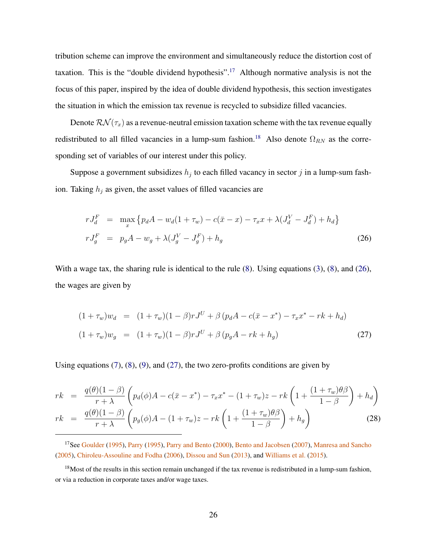tribution scheme can improve the environment and simultaneously reduce the distortion cost of taxation. This is the "double dividend hypothesis".<sup>[17](#page-26-0)</sup> Although normative analysis is not the focus of this paper, inspired by the idea of double dividend hypothesis, this section investigates the situation in which the emission tax revenue is recycled to subsidize filled vacancies.

Denote  $\mathcal{RN}(\tau_x)$  as a revenue-neutral emission taxation scheme with the tax revenue equally redistributed to all filled vacancies in a lump-sum fashion.<sup>[18](#page-26-1)</sup> Also denote  $\Omega_{RN}$  as the corresponding set of variables of our interest under this policy.

Suppose a government subsidizes  $h_j$  to each filled vacancy in sector j in a lump-sum fashion. Taking  $h_i$  as given, the asset values of filled vacancies are

<span id="page-26-2"></span>
$$
rJ_d^F = \max_x \left\{ p_d A - w_d (1 + \tau_w) - c(\bar{x} - x) - \tau_x x + \lambda (J_d^V - J_d^F) + h_d \right\}
$$
  
\n
$$
rJ_g^F = p_g A - w_g + \lambda (J_g^V - J_g^F) + h_g
$$
\n(26)

With a wage tax, the sharing rule is identical to the rule  $(8)$ . Using equations  $(3)$ ,  $(8)$ , and  $(26)$ , the wages are given by

<span id="page-26-3"></span>
$$
(1 + \tau_w)w_d = (1 + \tau_w)(1 - \beta)rJ^U + \beta (p_d A - c(\bar{x} - x^*) - \tau_x x^* - rk + h_d)
$$
  

$$
(1 + \tau_w)w_g = (1 + \tau_w)(1 - \beta)rJ^U + \beta (p_g A - rk + h_g)
$$
 (27)

Using equations  $(7)$ ,  $(8)$ ,  $(9)$ , and  $(27)$ , the two zero-profits conditions are given by

$$
rk = \frac{q(\theta)(1-\beta)}{r+\lambda} \left( p_d(\phi)A - c(\bar{x} - x^*) - \tau_x x^* - (1+\tau_w)z - rk\left(1 + \frac{(1+\tau_w)\theta\beta}{1-\beta}\right) + h_d \right)
$$
  

$$
rk = \frac{q(\theta)(1-\beta)}{r+\lambda} \left( p_g(\phi)A - (1+\tau_w)z - rk\left(1 + \frac{(1+\tau_w)\theta\beta}{1-\beta}\right) + h_g \right)
$$
(28)

<span id="page-26-0"></span><sup>17</sup>See [Goulder](#page-36-8) [\(1995\)](#page-38-9), [Parry](#page-38-9) (1995), [Parry and Bento](#page-38-10) [\(2000\)](#page-38-10), [Bento and Jacobsen](#page-35-9) [\(2007\)](#page-35-9), [Manresa and Sancho](#page-37-9) [\(2005\)](#page-37-9), [Chiroleu-Assouline and Fodha](#page-35-10) [\(2006\)](#page-35-10), [Dissou and Sun](#page-36-9) [\(2013\)](#page-36-9), and [Williams et al.](#page-39-7) [\(2015\)](#page-39-7).

<span id="page-26-1"></span> $18$ Most of the results in this section remain unchanged if the tax revenue is redistributed in a lump-sum fashion, or via a reduction in corporate taxes and/or wage taxes.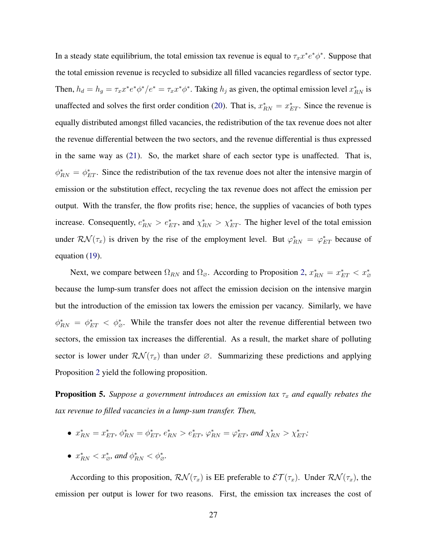In a steady state equilibrium, the total emission tax revenue is equal to  $\tau_x x^* e^* \phi^*$ . Suppose that the total emission revenue is recycled to subsidize all filled vacancies regardless of sector type. Then,  $h_d = h_g = \tau_x x^* e^* \phi^* / e^* = \tau_x x^* \phi^*$ . Taking  $h_j$  as given, the optimal emission level  $x^*_{RN}$  is unaffected and solves the first order condition [\(20\)](#page-20-0). That is,  $x_{RN}^* = x_{ET}^*$ . Since the revenue is equally distributed amongst filled vacancies, the redistribution of the tax revenue does not alter the revenue differential between the two sectors, and the revenue differential is thus expressed in the same way as [\(21\)](#page-20-1). So, the market share of each sector type is unaffected. That is,  $\phi_{RN}^* = \phi_{ET}^*$ . Since the redistribution of the tax revenue does not alter the intensive margin of emission or the substitution effect, recycling the tax revenue does not affect the emission per output. With the transfer, the flow profits rise; hence, the supplies of vacancies of both types increase. Consequently,  $e_{RN}^* > e_{ET}^*$ , and  $\chi_{RN}^* > \chi_{ET}^*$ . The higher level of the total emission under  $\mathcal{RN}(\tau_x)$  is driven by the rise of the employment level. But  $\varphi_{RN}^* = \varphi_{ET}^*$  because of equation [\(19\)](#page-15-1).

Next, we compare between  $\Omega_{RN}$  and  $\Omega_{\varnothing}$ . According to Proposition [2,](#page-22-4)  $x_{RN}^* = x_{ET}^* < x_{\varnothing}^*$ because the lump-sum transfer does not affect the emission decision on the intensive margin but the introduction of the emission tax lowers the emission per vacancy. Similarly, we have  $\phi_{RN}^* = \phi_{ET}^* < \phi_{\varnothing}^*$ . While the transfer does not alter the revenue differential between two sectors, the emission tax increases the differential. As a result, the market share of polluting sector is lower under  $\mathcal{RN}(\tau_x)$  than under  $\emptyset$ . Summarizing these predictions and applying Proposition [2](#page-22-4) yield the following proposition.

<span id="page-27-0"></span>**Proposition 5.** *Suppose a government introduces an emission tax*  $\tau_x$  *and equally rebates the tax revenue to filled vacancies in a lump-sum transfer. Then,*

- $x_{RN}^* = x_{ET}^*$ ,  $\phi_{RN}^* = \phi_{ET}^*$ ,  $e_{RN}^* > e_{ET}^*$ ,  $\varphi_{RN}^* = \varphi_{ET}^*$ , and  $\chi_{RN}^* > \chi_{ET}^*$ ;
- $x_{RN}^* < x_{\varnothing}^*$ , and  $\phi_{RN}^* < \phi_{\varnothing}^*$ .

According to this proposition,  $\mathcal{RN}(\tau_x)$  is EE preferable to  $\mathcal{ET}(\tau_x)$ . Under  $\mathcal{RN}(\tau_x)$ , the emission per output is lower for two reasons. First, the emission tax increases the cost of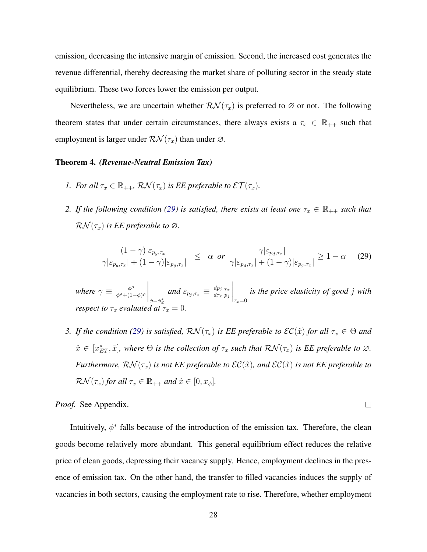emission, decreasing the intensive margin of emission. Second, the increased cost generates the revenue differential, thereby decreasing the market share of polluting sector in the steady state equilibrium. These two forces lower the emission per output.

Nevertheless, we are uncertain whether  $\mathcal{RN}(\tau_x)$  is preferred to  $\varnothing$  or not. The following theorem states that under certain circumstances, there always exists a  $\tau_x \in \mathbb{R}_{++}$  such that employment is larger under  $\mathcal{RN}(\tau_x)$  than under  $\varnothing$ .

#### <span id="page-28-1"></span>Theorem 4. *(Revenue-Neutral Emission Tax)*

- *1.* For all  $\tau_x \in \mathbb{R}_{++}$ ,  $\mathcal{RN}(\tau_x)$  is EE preferable to  $\mathcal{ET}(\tau_x)$ .
- *2. If the following condition [\(29\)](#page-28-0) is satisfied, there exists at least one*  $\tau_x \in \mathbb{R}_{++}$  *such that*  $\mathcal{RN}(\tau_x)$  *is EE preferable to*  $\varnothing$ *.*

<span id="page-28-0"></span>
$$
\frac{(1-\gamma)|\varepsilon_{p_g,\tau_x}|}{\gamma|\varepsilon_{p_d,\tau_x}|+(1-\gamma)|\varepsilon_{p_g,\tau_x}|} \leq \alpha \text{ or } \frac{\gamma|\varepsilon_{p_d,\tau_x}|}{\gamma|\varepsilon_{p_d,\tau_x}|+(1-\gamma)|\varepsilon_{p_g,\tau_x}|} \geq 1-\alpha \quad (29)
$$

*where*  $\gamma \equiv \frac{\phi^{\rho}}{\phi^{\rho}+(1-\phi)}$  $\overline{\phi^{\rho}+(1-\phi)^{\rho}}$  $\Big|_{\phi=\phi_{\varnothing}^*}$ and  $\varepsilon_{p_j,\tau_x}\equiv \frac{dp_j}{d\tau_x}$  $d\tau_x$  $\tau_x$  $p_j$  $\bigg|_{\tau_x=0}$ *is the price elasticity of good* j *with respect to*  $\tau_x$  *evaluated at*  $\tilde{\tau}_x = 0$ *.* 

*3. If the condition [\(29\)](#page-28-0) is satisfied,*  $\mathcal{RN}(\tau_x)$  *is EE preferable to*  $\mathcal{EC}(\hat{x})$  *for all*  $\tau_x \in \Theta$  *and*  $\hat{x} \in [x_{ET}^*, \bar{x}]$ , where  $\Theta$  is the collection of  $\tau_x$  such that  $\mathcal{RN}(\tau_x)$  is EE preferable to  $\varnothing$ . *Furthermore,*  $\mathcal{RN}(\tau_x)$  *is not EE preferable to*  $\mathcal{EC}(\hat{x})$ *, and*  $\mathcal{EC}(\hat{x})$  *<i>is not EE preferable to*  $\mathcal{RN}(\tau_x)$  for all  $\tau_x \in \mathbb{R}_{++}$  and  $\hat{x} \in [0, x_{\phi}]$ .

 $\Box$ 

*Proof.* See Appendix.

Intuitively,  $\phi^*$  falls because of the introduction of the emission tax. Therefore, the clean goods become relatively more abundant. This general equilibrium effect reduces the relative price of clean goods, depressing their vacancy supply. Hence, employment declines in the presence of emission tax. On the other hand, the transfer to filled vacancies induces the supply of vacancies in both sectors, causing the employment rate to rise. Therefore, whether employment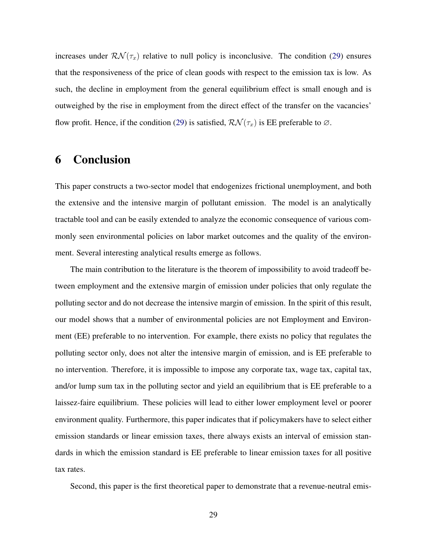increases under  $\mathcal{RN}(\tau_x)$  relative to null policy is inconclusive. The condition [\(29\)](#page-28-0) ensures that the responsiveness of the price of clean goods with respect to the emission tax is low. As such, the decline in employment from the general equilibrium effect is small enough and is outweighed by the rise in employment from the direct effect of the transfer on the vacancies' flow profit. Hence, if the condition [\(29\)](#page-28-0) is satisfied,  $\mathcal{RN}(\tau_x)$  is EE preferable to  $\varnothing$ .

## <span id="page-29-0"></span>6 Conclusion

This paper constructs a two-sector model that endogenizes frictional unemployment, and both the extensive and the intensive margin of pollutant emission. The model is an analytically tractable tool and can be easily extended to analyze the economic consequence of various commonly seen environmental policies on labor market outcomes and the quality of the environment. Several interesting analytical results emerge as follows.

The main contribution to the literature is the theorem of impossibility to avoid tradeoff between employment and the extensive margin of emission under policies that only regulate the polluting sector and do not decrease the intensive margin of emission. In the spirit of this result, our model shows that a number of environmental policies are not Employment and Environment (EE) preferable to no intervention. For example, there exists no policy that regulates the polluting sector only, does not alter the intensive margin of emission, and is EE preferable to no intervention. Therefore, it is impossible to impose any corporate tax, wage tax, capital tax, and/or lump sum tax in the polluting sector and yield an equilibrium that is EE preferable to a laissez-faire equilibrium. These policies will lead to either lower employment level or poorer environment quality. Furthermore, this paper indicates that if policymakers have to select either emission standards or linear emission taxes, there always exists an interval of emission standards in which the emission standard is EE preferable to linear emission taxes for all positive tax rates.

Second, this paper is the first theoretical paper to demonstrate that a revenue-neutral emis-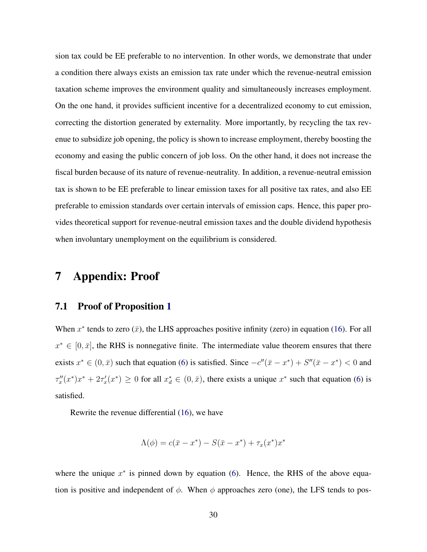sion tax could be EE preferable to no intervention. In other words, we demonstrate that under a condition there always exists an emission tax rate under which the revenue-neutral emission taxation scheme improves the environment quality and simultaneously increases employment. On the one hand, it provides sufficient incentive for a decentralized economy to cut emission, correcting the distortion generated by externality. More importantly, by recycling the tax revenue to subsidize job opening, the policy is shown to increase employment, thereby boosting the economy and easing the public concern of job loss. On the other hand, it does not increase the fiscal burden because of its nature of revenue-neutrality. In addition, a revenue-neutral emission tax is shown to be EE preferable to linear emission taxes for all positive tax rates, and also EE preferable to emission standards over certain intervals of emission caps. Hence, this paper provides theoretical support for revenue-neutral emission taxes and the double dividend hypothesis when involuntary unemployment on the equilibrium is considered.

### 7 Appendix: Proof

### 7.1 Proof of Proposition [1](#page-14-2)

When  $x^*$  tends to zero  $(\bar{x})$ , the LHS approaches positive infinity (zero) in equation [\(16\)](#page-14-1). For all  $x^* \in [0, \bar{x}]$ , the RHS is nonnegative finite. The intermediate value theorem ensures that there exists  $x^* \in (0, \bar{x})$  such that equation [\(6\)](#page-10-2) is satisfied. Since  $-c''(\bar{x} - x^*) + S''(\bar{x} - x^*) < 0$  and  $\tau''_x(x^*)x^* + 2\tau'_x(x^*) \ge 0$  for all  $x_d^* \in (0, \bar{x})$ , there exists a unique  $x^*$  such that equation [\(6\)](#page-10-2) is satisfied.

Rewrite the revenue differential [\(16\)](#page-14-1), we have

$$
\Lambda(\phi) = c(\bar{x} - x^*) - S(\bar{x} - x^*) + \tau_x(x^*)x^*
$$

where the unique  $x^*$  is pinned down by equation [\(6\)](#page-10-2). Hence, the RHS of the above equation is positive and independent of  $\phi$ . When  $\phi$  approaches zero (one), the LFS tends to pos-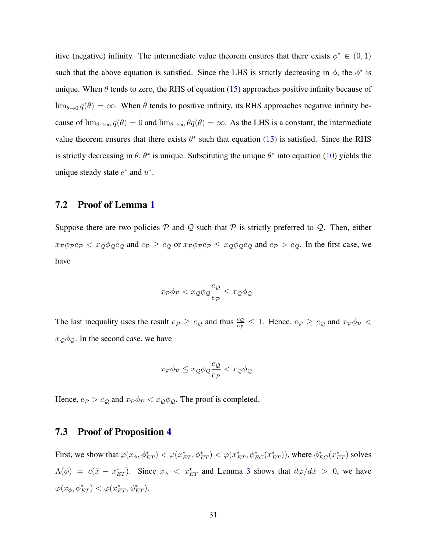itive (negative) infinity. The intermediate value theorem ensures that there exists  $\phi^* \in (0,1)$ such that the above equation is satisfied. Since the LHS is strictly decreasing in  $\phi$ , the  $\phi^*$  is unique. When  $\theta$  tends to zero, the RHS of equation [\(15\)](#page-13-3) approaches positive infinity because of  $\lim_{\theta\to 0} q(\theta) = \infty$ . When  $\theta$  tends to positive infinity, its RHS approaches negative infinity because of  $\lim_{\theta\to\infty} q(\theta) = 0$  and  $\lim_{\theta\to\infty} \theta q(\theta) = \infty$ . As the LHS is a constant, the intermediate value theorem ensures that there exists  $\theta^*$  such that equation [\(15\)](#page-13-3) is satisfied. Since the RHS is strictly decreasing in  $\theta$ ,  $\theta^*$  is unique. Substituting the unique  $\theta^*$  into equation [\(10\)](#page-11-3) yields the unique steady state  $e^*$  and  $u^*$ .

#### 7.2 Proof of Lemma [1](#page-15-2)

Suppose there are two policies  $P$  and  $Q$  such that  $P$  is strictly preferred to  $Q$ . Then, either  $x_P \phi_P e_P < x_Q \phi_Q e_Q$  and  $e_P \ge e_Q$  or  $x_P \phi_P e_P \le x_Q \phi_Q e_Q$  and  $e_P > e_Q$ . In the first case, we have

$$
x_{\mathcal{P}}\phi_{\mathcal{P}} < x_{\mathcal{Q}}\phi_{\mathcal{Q}}\frac{e_{\mathcal{Q}}}{e_{\mathcal{P}}} \leq x_{\mathcal{Q}}\phi_{\mathcal{Q}}
$$

The last inequality uses the result  $e_p \ge e_Q$  and thus  $\frac{e_Q}{e_P} \le 1$ . Hence,  $e_p \ge e_Q$  and  $x_p \phi_P$  $x_{\mathcal{Q}}\phi_{\mathcal{Q}}$ . In the second case, we have

$$
x_{\mathcal{P}}\phi_{\mathcal{P}} \le x_{\mathcal{Q}}\phi_{\mathcal{Q}}\frac{e_{\mathcal{Q}}}{e_{\mathcal{P}}} < x_{\mathcal{Q}}\phi_{\mathcal{Q}}
$$

Hence,  $e_{\mathcal{P}} > e_{\mathcal{Q}}$  and  $x_{\mathcal{P}} \phi_{\mathcal{P}} < x_{\mathcal{Q}} \phi_{\mathcal{Q}}$ . The proof is completed.

#### 7.3 Proof of Proposition [4](#page-24-2)

First, we show that  $\varphi(x_\phi, \phi_{ET}^*) < \varphi(x_{ET}^*, \phi_{ET}^*) < \varphi(x_{ET}^*, \phi_{EC}^*(x_{ET}^*))$ , where  $\phi_{EC}^*(x_{ET}^*)$  solves  $\Lambda(\phi) = c(\bar{x} - x_{ET}^*)$ . Since  $x_{\phi} < x_{ET}^*$  and Lemma [3](#page-22-3) shows that  $d\varphi/d\hat{x} > 0$ , we have  $\varphi(x_{\phi}, \phi_{ET}^*) < \varphi(x_{ET}^*, \phi_{ET}^*).$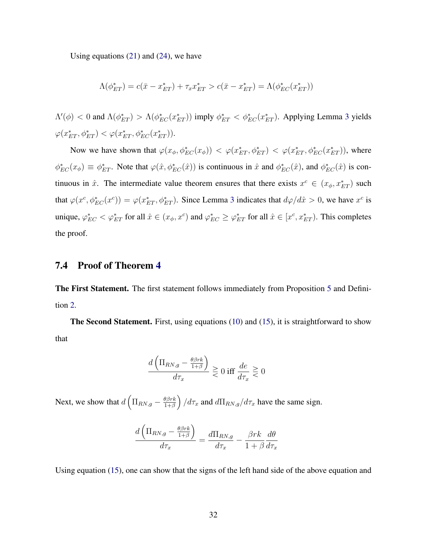Using equations [\(21\)](#page-20-1) and [\(24\)](#page-22-2), we have

$$
\Lambda(\phi_{ET}^*) = c(\bar{x} - x_{ET}^*) + \tau_x x_{ET}^* > c(\bar{x} - x_{ET}^*) = \Lambda(\phi_{EC}^*(x_{ET}^*))
$$

 $\Lambda'(\phi) < 0$  and  $\Lambda(\phi_{ET}^*) > \Lambda(\phi_{EC}^*(x_{ET}^*))$  imply  $\phi_{ET}^* < \phi_{EC}^*(x_{ET}^*)$ . Applying Lemma [3](#page-22-3) yields  $\varphi(x_{ET}^*, \phi_{ET}^*) < \varphi(x_{ET}^*, \phi_{EC}^*(x_{ET}^*)).$ 

Now we have shown that  $\varphi(x_\phi, \phi_{EC}^*(x_\phi)) < \varphi(x_{ET}^*, \phi_{ET}^*) < \varphi(x_{ET}^*, \phi_{EC}^*(x_{ET}^*)),$  where  $\phi_{EC}^*(x_\phi) \equiv \phi_{ET}^*$ . Note that  $\varphi(\hat{x}, \phi_{EC}^*(\hat{x}))$  is continuous in  $\hat{x}$  and  $\phi_{EC}^*(\hat{x})$ , and  $\phi_{EC}^*(\hat{x})$  is continuous in  $\hat{x}$ . The intermediate value theorem ensures that there exists  $x^c \in (x_{\phi}, x_{ET}^*)$  such that  $\varphi(x^c, \phi_{EC}^*(x^c)) = \varphi(x_{ET}^*, \phi_{ET}^*)$ . Since Lemma [3](#page-22-3) indicates that  $d\varphi/d\hat{x} > 0$ , we have  $x^c$  is unique,  $\varphi_{EC}^* < \varphi_{ET}^*$  for all  $\hat{x} \in (x_\phi, x^c)$  and  $\varphi_{EC}^* \geq \varphi_{ET}^*$  for all  $\hat{x} \in [x^c, x_{ET}^*)$ . This completes the proof.

### 7.4 Proof of Theorem [4](#page-28-1)

The First Statement. The first statement follows immediately from Proposition [5](#page-27-0) and Definition [2.](#page-15-0)

The Second Statement. First, using equations [\(10\)](#page-11-3) and [\(15\)](#page-13-3), it is straightforward to show that

$$
\frac{d\left(\Pi_{RN,g} - \frac{\theta\beta r k}{1+\beta}\right)}{d\tau_x} \gtrless 0 \text{ iff } \frac{de}{d\tau_x} \gtrless 0
$$

Next, we show that  $d \left( \prod_{RN,g} - \frac{\theta \beta r k}{1+\beta} \right)$  $\left(\frac{\theta\beta r k}{1+\beta}\right)/d\tau_x$  and  $d\Pi_{RN,g}/d\tau_x$  have the same sign.

$$
\frac{d\left(\Pi_{RN,g} - \frac{\theta\beta rk}{1+\beta}\right)}{d\tau_x} = \frac{d\Pi_{RN,g}}{d\tau_x} - \frac{\beta rk}{1+\beta}\frac{d\theta}{d\tau_x}
$$

Using equation [\(15\)](#page-13-3), one can show that the signs of the left hand side of the above equation and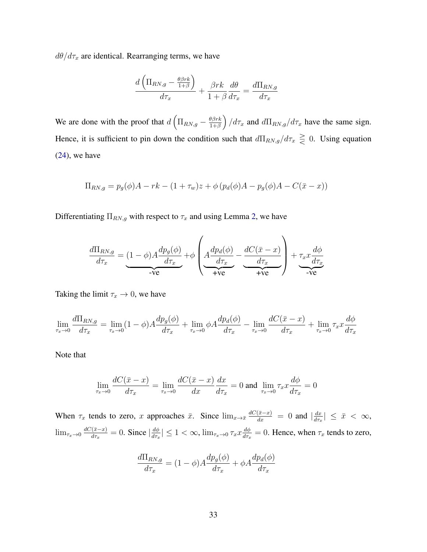$d\theta/d\tau_x$  are identical. Rearranging terms, we have

$$
\frac{d\left(\Pi_{RN,g} - \frac{\theta\beta rk}{1+\beta}\right)}{d\tau_x} + \frac{\beta rk}{1+\beta}\frac{d\theta}{d\tau_x} = \frac{d\Pi_{RN,g}}{d\tau_x}
$$

We are done with the proof that  $d \left( \prod_{RN,g} - \frac{\theta \beta r k}{1+\beta} \right)$  $\left(\frac{\theta\beta r k}{1+\beta}\right)/d\tau_x$  and  $d\Pi_{RN,g}/d\tau_x$  have the same sign. Hence, it is sufficient to pin down the condition such that  $d\Pi_{RN,g}/d\tau_x \ge 0$ . Using equation [\(24\)](#page-22-2), we have

$$
\Pi_{RN,g} = p_g(\phi)A - rk - (1 + \tau_w)z + \phi(p_d(\phi)A - p_g(\phi)A - C(\bar{x} - x))
$$

Differentiating  $\Pi_{RN,g}$  with respect to  $\tau_x$  and using Lemma [2,](#page-22-0) we have

$$
\frac{d\Pi_{RN,g}}{d\tau_x} = (1 - \phi)A \frac{dp_g(\phi)}{d\tau_x} + \phi \left(A \frac{dp_d(\phi)}{d\tau_x} - \frac{dC(\bar{x} - x)}{d\tau_x}\right) + \tau_x x \frac{d\phi}{d\tau_x}
$$

Taking the limit  $\tau_x \to 0$ , we have

$$
\lim_{\tau_x \to 0} \frac{d\Pi_{RN,g}}{d\tau_x} = \lim_{\tau_x \to 0} (1 - \phi) A \frac{dp_g(\phi)}{d\tau_x} + \lim_{\tau_x \to 0} \phi A \frac{dp_d(\phi)}{d\tau_x} - \lim_{\tau_x \to 0} \frac{dC(\bar{x} - x)}{d\tau_x} + \lim_{\tau_x \to 0} \tau_x x \frac{d\phi}{d\tau_x}
$$

Note that

$$
\lim_{\tau_x \to 0} \frac{dC(\bar{x} - x)}{d\tau_x} = \lim_{\tau_x \to 0} \frac{dC(\bar{x} - x)}{dx} \frac{dx}{d\tau_x} = 0 \text{ and } \lim_{\tau_x \to 0} \tau_x x \frac{d\phi}{d\tau_x} = 0
$$

When  $\tau_x$  tends to zero, x approaches  $\bar{x}$ . Since  $\lim_{x\to\bar{x}}\frac{dC(\bar{x}-x)}{dx}=0$  and  $\left|\frac{dx}{d\tau_x}\right|$  $\frac{dx}{d\tau_x}$  |  $\leq \bar{x} < \infty$ ,  $\lim_{\tau_x\to 0}\frac{dC(\bar{x}-x)}{d\tau_x}$  $\frac{d(\bar{x}-x)}{d\tau_x} = 0$ . Since  $\left| \frac{d\phi}{d\tau_x} \right|$  $\frac{d\phi}{d\tau_x}|\leq 1<\infty$ ,  $\lim_{\tau_x\to 0} \tau_x x \frac{d\phi}{d\tau_x}$  $\frac{d\phi}{d\tau_x} = 0$ . Hence, when  $\tau_x$  tends to zero,

$$
\frac{d\Pi_{RN,g}}{d\tau_x} = (1 - \phi)A \frac{dp_g(\phi)}{d\tau_x} + \phi A \frac{dp_d(\phi)}{d\tau_x}
$$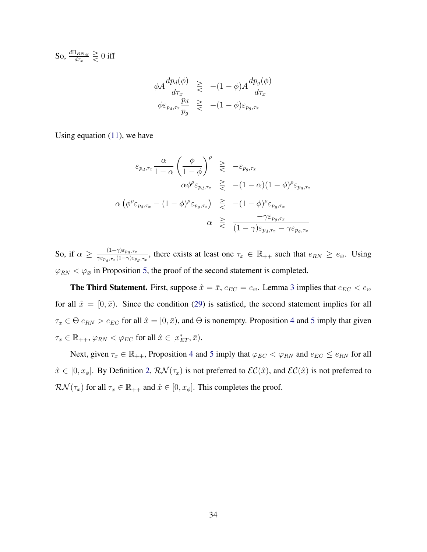So,  $\frac{d\Pi_{RN,g}}{d\tau_x}\gtrless 0$  iff

$$
\begin{array}{rcl}\n\phi A \frac{dp_d(\phi)}{d\tau_x} & \geqslant & -(1 - \phi) A \frac{dp_g(\phi)}{d\tau_x} \\
\phi \varepsilon_{p_d, \tau_x} \frac{p_d}{p_g} & \geqslant & -(1 - \phi) \varepsilon_{p_g, \tau_x}\n\end{array}
$$

Using equation [\(11\)](#page-12-1), we have

$$
\varepsilon_{p_d, \tau_x} \frac{\alpha}{1 - \alpha} \left( \frac{\phi}{1 - \phi} \right)^{\rho} \geq -\varepsilon_{p_g, \tau_x}
$$

$$
\alpha \phi^{\rho} \varepsilon_{p_d, \tau_x} \geq -(1 - \alpha)(1 - \phi)^{\rho} \varepsilon_{p_g, \tau_x}
$$

$$
\alpha \left( \phi^{\rho} \varepsilon_{p_d, \tau_x} - (1 - \phi)^{\rho} \varepsilon_{p_g, \tau_x} \right) \geq -(1 - \phi)^{\rho} \varepsilon_{p_g, \tau_x}
$$

$$
\alpha \geq \frac{-\gamma \varepsilon_{p_g, \tau_x}}{(1 - \gamma) \varepsilon_{p_d, \tau_x} - \gamma \varepsilon_{p_g, \tau_x}}
$$

So, if  $\alpha \geq \frac{(1-\gamma)\varepsilon_{pg,\tau_x}}{\gamma \varepsilon_{\tau} - (1-\gamma)\varepsilon_{\tau}}$  $\frac{(1-\gamma)\varepsilon_{p_g,\tau_x}}{\gamma \varepsilon_{p_d,\tau_x}(1-\gamma)\varepsilon_{p_g,\tau_x}}$ , there exists at least one  $\tau_x \in \mathbb{R}_{++}$  such that  $e_{RN} \ge e_{\varnothing}$ . Using  $\varphi_{RN} < \varphi_{\varnothing}$  in Proposition [5,](#page-27-0) the proof of the second statement is completed.

**The Third Statement.** First, suppose  $\hat{x} = \bar{x}$ ,  $e_{EC} = e_{\emptyset}$ . Lemma [3](#page-22-3) implies that  $e_{EC} < e_{\emptyset}$ for all  $\hat{x} = [0, \bar{x}]$ . Since the condition [\(29\)](#page-28-0) is satisfied, the second statement implies for all  $\tau_x \in \Theta$   $e_{RN} > e_{EC}$  for all  $\hat{x} = [0, \bar{x})$ , and  $\Theta$  is nonempty. Proposition [4](#page-24-2) and [5](#page-27-0) imply that given  $\tau_x \in \mathbb{R}_{++}, \varphi_{RN} < \varphi_{EC}$  for all  $\hat{x} \in [x_{ET}^*, \bar{x}).$ 

Next, given  $\tau_x \in \mathbb{R}_{++}$ , Proposition [4](#page-24-2) and [5](#page-27-0) imply that  $\varphi_{EC} < \varphi_{RN}$  and  $e_{EC} \le e_{RN}$  for all  $\hat{x} \in [0, x_{\phi}]$ . By Definition [2,](#page-15-0)  $\mathcal{RN}(\tau_x)$  is not preferred to  $\mathcal{EC}(\hat{x})$ , and  $\mathcal{EC}(\hat{x})$  is not preferred to  $\mathcal{RN}(\tau_x)$  for all  $\tau_x \in \mathbb{R}_{++}$  and  $\hat{x} \in [0, x_{\phi}]$ . This completes the proof.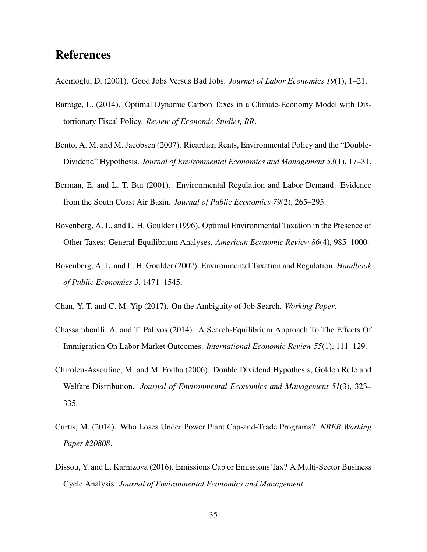## References

- <span id="page-35-5"></span>Acemoglu, D. (2001). Good Jobs Versus Bad Jobs. *Journal of Labor Economics 19*(1), 1–21.
- <span id="page-35-4"></span>Barrage, L. (2014). Optimal Dynamic Carbon Taxes in a Climate-Economy Model with Distortionary Fiscal Policy. *Review of Economic Studies, RR*.
- <span id="page-35-9"></span>Bento, A. M. and M. Jacobsen (2007). Ricardian Rents, Environmental Policy and the "Double-Dividend" Hypothesis. *Journal of Environmental Economics and Management 53*(1), 17–31.
- <span id="page-35-1"></span>Berman, E. and L. T. Bui (2001). Environmental Regulation and Labor Demand: Evidence from the South Coast Air Basin. *Journal of Public Economics 79*(2), 265–295.
- <span id="page-35-2"></span>Bovenberg, A. L. and L. H. Goulder (1996). Optimal Environmental Taxation in the Presence of Other Taxes: General-Equilibrium Analyses. *American Economic Review 86*(4), 985–1000.
- <span id="page-35-3"></span>Bovenberg, A. L. and L. H. Goulder (2002). Environmental Taxation and Regulation. *Handbook of Public Economics 3*, 1471–1545.
- <span id="page-35-8"></span>Chan, Y. T. and C. M. Yip (2017). On the Ambiguity of Job Search. *Working Paper*.
- <span id="page-35-6"></span>Chassamboulli, A. and T. Palivos (2014). A Search-Equilibrium Approach To The Effects Of Immigration On Labor Market Outcomes. *International Economic Review 55*(1), 111–129.
- <span id="page-35-10"></span>Chiroleu-Assouline, M. and M. Fodha (2006). Double Dividend Hypothesis, Golden Rule and Welfare Distribution. *Journal of Environmental Economics and Management 51*(3), 323– 335.
- <span id="page-35-0"></span>Curtis, M. (2014). Who Loses Under Power Plant Cap-and-Trade Programs? *NBER Working Paper #20808*.
- <span id="page-35-7"></span>Dissou, Y. and L. Karnizova (2016). Emissions Cap or Emissions Tax? A Multi-Sector Business Cycle Analysis. *Journal of Environmental Economics and Management*.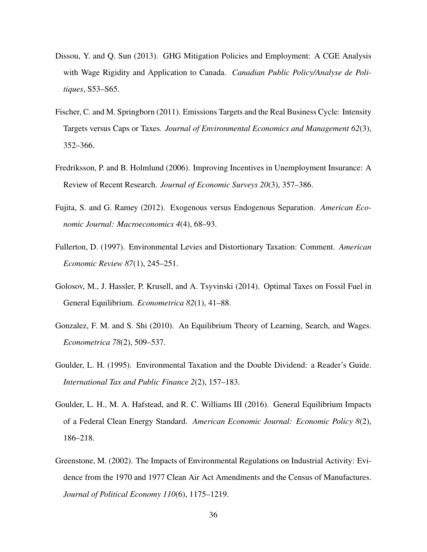- <span id="page-36-9"></span>Dissou, Y. and Q. Sun (2013). GHG Mitigation Policies and Employment: A CGE Analysis with Wage Rigidity and Application to Canada. *Canadian Public Policy/Analyse de Politiques*, S53–S65.
- <span id="page-36-3"></span>Fischer, C. and M. Springborn (2011). Emissions Targets and the Real Business Cycle: Intensity Targets versus Caps or Taxes. *Journal of Environmental Economics and Management 62*(3), 352–366.
- <span id="page-36-6"></span>Fredriksson, P. and B. Holmlund (2006). Improving Incentives in Unemployment Insurance: A Review of Recent Research. *Journal of Economic Surveys 20*(3), 357–386.
- <span id="page-36-5"></span>Fujita, S. and G. Ramey (2012). Exogenous versus Endogenous Separation. *American Economic Journal: Macroeconomics 4*(4), 68–93.
- <span id="page-36-7"></span>Fullerton, D. (1997). Environmental Levies and Distortionary Taxation: Comment. *American Economic Review 87*(1), 245–251.
- <span id="page-36-1"></span>Golosov, M., J. Hassler, P. Krusell, and A. Tsyvinski (2014). Optimal Taxes on Fossil Fuel in General Equilibrium. *Econometrica 82*(1), 41–88.
- <span id="page-36-4"></span>Gonzalez, F. M. and S. Shi (2010). An Equilibrium Theory of Learning, Search, and Wages. *Econometrica 78*(2), 509–537.
- <span id="page-36-8"></span>Goulder, L. H. (1995). Environmental Taxation and the Double Dividend: a Reader's Guide. *International Tax and Public Finance 2*(2), 157–183.
- <span id="page-36-2"></span>Goulder, L. H., M. A. Hafstead, and R. C. Williams III (2016). General Equilibrium Impacts of a Federal Clean Energy Standard. *American Economic Journal: Economic Policy 8*(2), 186–218.
- <span id="page-36-0"></span>Greenstone, M. (2002). The Impacts of Environmental Regulations on Industrial Activity: Evidence from the 1970 and 1977 Clean Air Act Amendments and the Census of Manufactures. *Journal of Political Economy 110*(6), 1175–1219.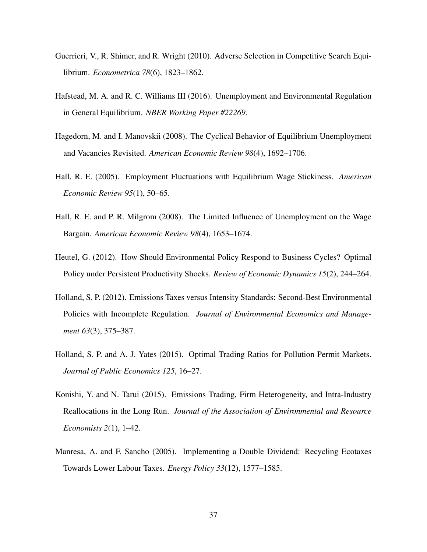- <span id="page-37-5"></span>Guerrieri, V., R. Shimer, and R. Wright (2010). Adverse Selection in Competitive Search Equilibrium. *Econometrica 78*(6), 1823–1862.
- <span id="page-37-0"></span>Hafstead, M. A. and R. C. Williams III (2016). Unemployment and Environmental Regulation in General Equilibrium. *NBER Working Paper #22269*.
- <span id="page-37-7"></span>Hagedorn, M. and I. Manovskii (2008). The Cyclical Behavior of Equilibrium Unemployment and Vacancies Revisited. *American Economic Review 98*(4), 1692–1706.
- <span id="page-37-6"></span>Hall, R. E. (2005). Employment Fluctuations with Equilibrium Wage Stickiness. *American Economic Review 95*(1), 50–65.
- <span id="page-37-8"></span>Hall, R. E. and P. R. Milgrom (2008). The Limited Influence of Unemployment on the Wage Bargain. *American Economic Review 98*(4), 1653–1674.
- <span id="page-37-3"></span>Heutel, G. (2012). How Should Environmental Policy Respond to Business Cycles? Optimal Policy under Persistent Productivity Shocks. *Review of Economic Dynamics 15*(2), 244–264.
- <span id="page-37-2"></span>Holland, S. P. (2012). Emissions Taxes versus Intensity Standards: Second-Best Environmental Policies with Incomplete Regulation. *Journal of Environmental Economics and Management 63*(3), 375–387.
- <span id="page-37-4"></span>Holland, S. P. and A. J. Yates (2015). Optimal Trading Ratios for Pollution Permit Markets. *Journal of Public Economics 125*, 16–27.
- <span id="page-37-1"></span>Konishi, Y. and N. Tarui (2015). Emissions Trading, Firm Heterogeneity, and Intra-Industry Reallocations in the Long Run. *Journal of the Association of Environmental and Resource Economists 2*(1), 1–42.
- <span id="page-37-9"></span>Manresa, A. and F. Sancho (2005). Implementing a Double Dividend: Recycling Ecotaxes Towards Lower Labour Taxes. *Energy Policy 33*(12), 1577–1585.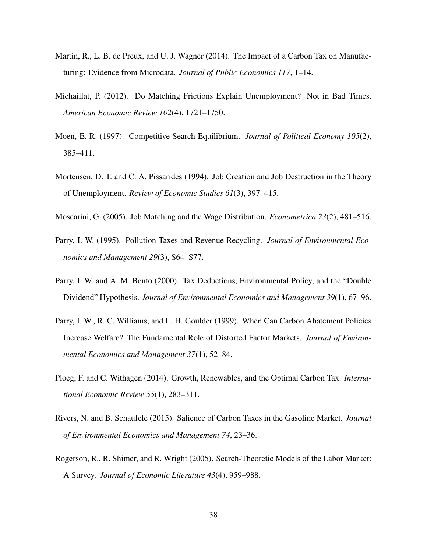- <span id="page-38-0"></span>Martin, R., L. B. de Preux, and U. J. Wagner (2014). The Impact of a Carbon Tax on Manufacturing: Evidence from Microdata. *Journal of Public Economics 117*, 1–14.
- <span id="page-38-8"></span>Michaillat, P. (2012). Do Matching Frictions Explain Unemployment? Not in Bad Times. *American Economic Review 102*(4), 1721–1750.
- <span id="page-38-6"></span>Moen, E. R. (1997). Competitive Search Equilibrium. *Journal of Political Economy 105*(2), 385–411.
- <span id="page-38-5"></span>Mortensen, D. T. and C. A. Pissarides (1994). Job Creation and Job Destruction in the Theory of Unemployment. *Review of Economic Studies 61*(3), 397–415.
- <span id="page-38-7"></span>Moscarini, G. (2005). Job Matching and the Wage Distribution. *Econometrica 73*(2), 481–516.
- <span id="page-38-9"></span>Parry, I. W. (1995). Pollution Taxes and Revenue Recycling. *Journal of Environmental Economics and Management 29*(3), S64–S77.
- <span id="page-38-10"></span>Parry, I. W. and A. M. Bento (2000). Tax Deductions, Environmental Policy, and the "Double Dividend" Hypothesis. *Journal of Environmental Economics and Management 39*(1), 67–96.
- <span id="page-38-1"></span>Parry, I. W., R. C. Williams, and L. H. Goulder (1999). When Can Carbon Abatement Policies Increase Welfare? The Fundamental Role of Distorted Factor Markets. *Journal of Environmental Economics and Management 37*(1), 52–84.
- <span id="page-38-2"></span>Ploeg, F. and C. Withagen (2014). Growth, Renewables, and the Optimal Carbon Tax. *International Economic Review 55*(1), 283–311.
- <span id="page-38-4"></span>Rivers, N. and B. Schaufele (2015). Salience of Carbon Taxes in the Gasoline Market. *Journal of Environmental Economics and Management 74*, 23–36.
- <span id="page-38-3"></span>Rogerson, R., R. Shimer, and R. Wright (2005). Search-Theoretic Models of the Labor Market: A Survey. *Journal of Economic Literature 43*(4), 959–988.